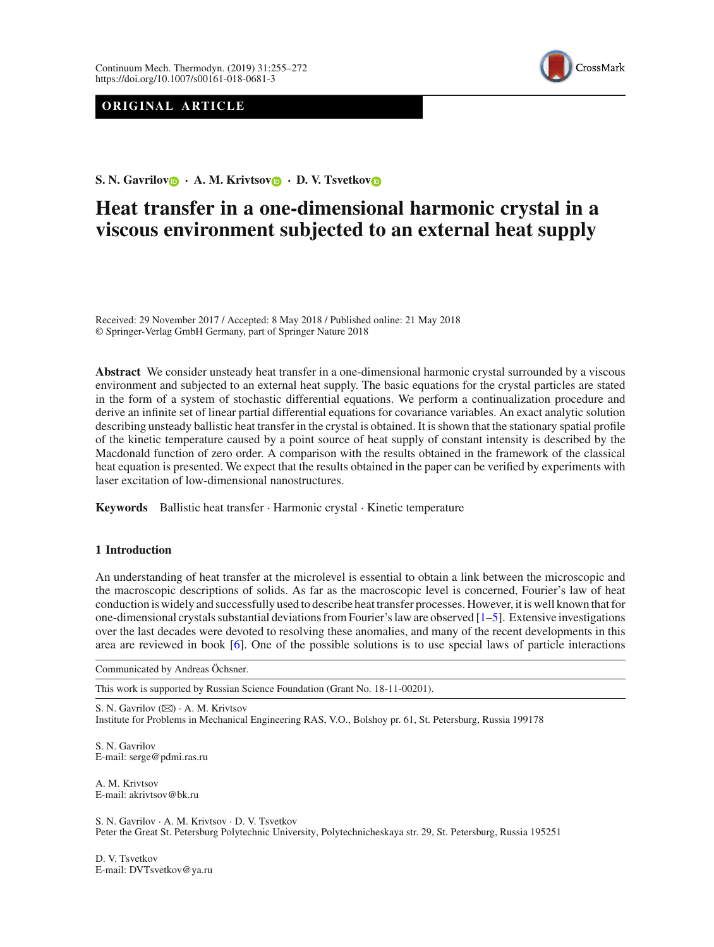# **ORIGINAL ARTICLE**



**S. N. Ga[v](http://orcid.org/0000-0003-4200-212X)rilov**  $\bullet$  **· A. M. Krivtsov**  $\bullet$  **· D. V. Tsvetkov** 

# **Heat transfer in a one-dimensional harmonic crystal in a viscous environment subjected to an external heat supply**

Received: 29 November 2017 / Accepted: 8 May 2018 / Published online: 21 May 2018 © Springer-Verlag GmbH Germany, part of Springer Nature 2018

**Abstract** We consider unsteady heat transfer in a one-dimensional harmonic crystal surrounded by a viscous environment and subjected to an external heat supply. The basic equations for the crystal particles are stated in the form of a system of stochastic differential equations. We perform a continualization procedure and derive an infinite set of linear partial differential equations for covariance variables. An exact analytic solution describing unsteady ballistic heat transfer in the crystal is obtained. It is shown that the stationary spatial profile of the kinetic temperature caused by a point source of heat supply of constant intensity is described by the Macdonald function of zero order. A comparison with the results obtained in the framework of the classical heat equation is presented. We expect that the results obtained in the paper can be verified by experiments with laser excitation of low-dimensional nanostructures.

**Keywords** Ballistic heat transfer · Harmonic crystal · Kinetic temperature

# **1 Introduction**

An understanding of heat transfer at the microlevel is essential to obtain a link between the microscopic and the macroscopic descriptions of solids. As far as the macroscopic level is concerned, Fourier's law of heat conduction is widely and successfully used to describe heat transfer processes. However, it is well known that for one-dimensional crystals substantial deviations from Fourier's law are observed [\[1](#page-15-0)[–5\]](#page-16-0). Extensive investigations over the last decades were devoted to resolving these anomalies, and many of the recent developments in this area are reviewed in book [\[6](#page-16-1)]. One of the possible solutions is to use special laws of particle interactions

Communicated by Andreas Öchsner.

This work is supported by Russian Science Foundation (Grant No. 18-11-00201).

S. N. Gavrilov (⊠) · A. M. Krivtsov Institute for Problems in Mechanical Engineering RAS, V.O., Bolshoy pr. 61, St. Petersburg, Russia 199178

S. N. Gavrilov E-mail: serge@pdmi.ras.ru

A. M. Krivtsov E-mail: akrivtsov@bk.ru

S. N. Gavrilov · A. M. Krivtsov · D. V. Tsvetkov Peter the Great St. Petersburg Polytechnic University, Polytechnicheskaya str. 29, St. Petersburg, Russia 195251

D. V. Tsvetkov E-mail: DVTsvetkov@ya.ru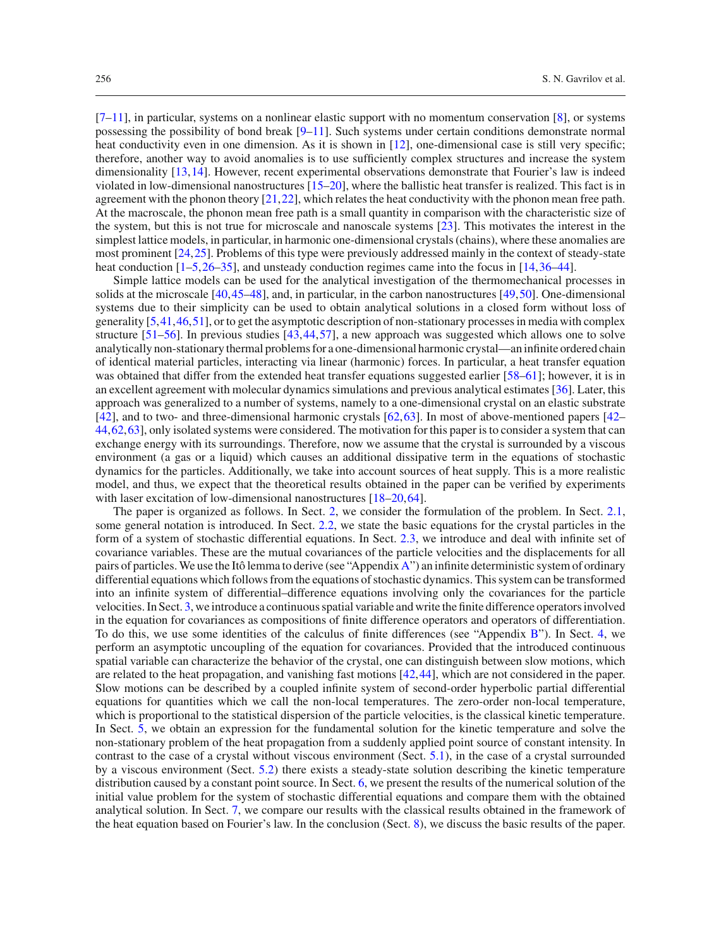$[7-11]$  $[7-11]$ , in particular, systems on a nonlinear elastic support with no momentum conservation [\[8\]](#page-16-4), or systems possessing the possibility of bond break [\[9](#page-16-5)[–11\]](#page-16-3). Such systems under certain conditions demonstrate normal heat conductivity even in one dimension. As it is shown in [\[12\]](#page-16-6), one-dimensional case is still very specific; therefore, another way to avoid anomalies is to use sufficiently complex structures and increase the system dimensionality [\[13](#page-16-7)[,14\]](#page-16-8). However, recent experimental observations demonstrate that Fourier's law is indeed violated in low-dimensional nanostructures [\[15](#page-16-9)[–20](#page-16-10)], where the ballistic heat transfer is realized. This fact is in agreement with the phonon theory [\[21](#page-16-11)[,22](#page-16-12)], which relates the heat conductivity with the phonon mean free path. At the macroscale, the phonon mean free path is a small quantity in comparison with the characteristic size of the system, but this is not true for microscale and nanoscale systems [\[23](#page-16-13)]. This motivates the interest in the simplest lattice models, in particular, in harmonic one-dimensional crystals (chains), where these anomalies are most prominent [\[24](#page-16-14)[,25](#page-16-15)]. Problems of this type were previously addressed mainly in the context of steady-state heat conduction  $[1-5,26-35]$  $[1-5,26-35]$  $[1-5,26-35]$  $[1-5,26-35]$ , and unsteady conduction regimes came into the focus in [\[14,](#page-16-8)[36](#page-16-18)[–44](#page-17-0)].

Simple lattice models can be used for the analytical investigation of the thermomechanical processes in solids at the microscale [\[40](#page-16-19)[,45](#page-17-1)[–48\]](#page-17-2), and, in particular, in the carbon nanostructures [\[49](#page-17-3)[,50\]](#page-17-4). One-dimensional systems due to their simplicity can be used to obtain analytical solutions in a closed form without loss of generality [\[5](#page-16-0)[,41](#page-16-20)[,46](#page-17-5)[,51\]](#page-17-6), or to get the asymptotic description of non-stationary processes in media with complex structure [\[51](#page-17-6)[–56](#page-17-7)]. In previous studies [\[43](#page-17-8)[,44](#page-17-0),[57\]](#page-17-9), a new approach was suggested which allows one to solve analytically non-stationary thermal problems for a one-dimensional harmonic crystal—an infinite ordered chain of identical material particles, interacting via linear (harmonic) forces. In particular, a heat transfer equation was obtained that differ from the extended heat transfer equations suggested earlier [\[58](#page-17-10)[–61\]](#page-17-11); however, it is in an excellent agreement with molecular dynamics simulations and previous analytical estimates [\[36\]](#page-16-18). Later, this approach was generalized to a number of systems, namely to a one-dimensional crystal on an elastic substrate [\[42](#page-17-12)], and to two- and three-dimensional harmonic crystals [\[62,](#page-17-13)[63](#page-17-14)]. In most of above-mentioned papers [\[42–](#page-17-12) [44](#page-17-0)[,62](#page-17-13),[63\]](#page-17-14), only isolated systems were considered. The motivation for this paper is to consider a system that can exchange energy with its surroundings. Therefore, now we assume that the crystal is surrounded by a viscous environment (a gas or a liquid) which causes an additional dissipative term in the equations of stochastic dynamics for the particles. Additionally, we take into account sources of heat supply. This is a more realistic model, and thus, we expect that the theoretical results obtained in the paper can be verified by experiments with laser excitation of low-dimensional nanostructures [\[18](#page-16-21)[–20,](#page-16-10)[64](#page-17-15)].

The paper is organized as follows. In Sect. [2,](#page-2-0) we consider the formulation of the problem. In Sect. [2.1,](#page-2-1) some general notation is introduced. In Sect. [2.2,](#page-2-2) we state the basic equations for the crystal particles in the form of a system of stochastic differential equations. In Sect. [2.3,](#page-3-0) we introduce and deal with infinite set of covariance variables. These are the mutual covariances of the particle velocities and the displacements for all pairs of particles.We use the Itô lemma to derive (see "Appendix [A"](#page-15-1)) an infinite deterministic system of ordinary differential equations which follows from the equations of stochastic dynamics. This system can be transformed into an infinite system of differential–difference equations involving only the covariances for the particle velocities. In Sect. [3,](#page-4-0) we introduce a continuous spatial variable and write the finite difference operators involved in the equation for covariances as compositions of finite difference operators and operators of differentiation. To do this, we use some identities of the calculus of finite differences (see "Appendix [B"](#page-15-2)). In Sect. [4,](#page-5-0) we perform an asymptotic uncoupling of the equation for covariances. Provided that the introduced continuous spatial variable can characterize the behavior of the crystal, one can distinguish between slow motions, which are related to the heat propagation, and vanishing fast motions [\[42,](#page-17-12)[44](#page-17-0)], which are not considered in the paper. Slow motions can be described by a coupled infinite system of second-order hyperbolic partial differential equations for quantities which we call the non-local temperatures. The zero-order non-local temperature, which is proportional to the statistical dispersion of the particle velocities, is the classical kinetic temperature. In Sect. [5,](#page-6-0) we obtain an expression for the fundamental solution for the kinetic temperature and solve the non-stationary problem of the heat propagation from a suddenly applied point source of constant intensity. In contrast to the case of a crystal without viscous environment (Sect. [5.1\)](#page-6-1), in the case of a crystal surrounded by a viscous environment (Sect. [5.2\)](#page-8-0) there exists a steady-state solution describing the kinetic temperature distribution caused by a constant point source. In Sect. [6,](#page-9-0) we present the results of the numerical solution of the initial value problem for the system of stochastic differential equations and compare them with the obtained analytical solution. In Sect. [7,](#page-10-0) we compare our results with the classical results obtained in the framework of the heat equation based on Fourier's law. In the conclusion (Sect. [8\)](#page-14-0), we discuss the basic results of the paper.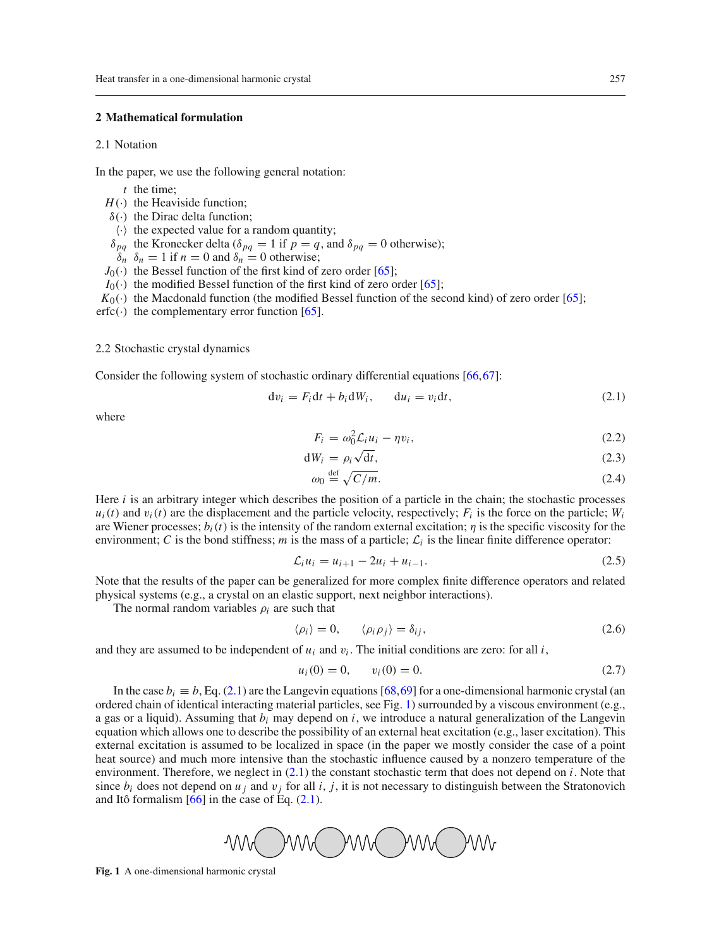# <span id="page-2-1"></span><span id="page-2-0"></span>**2 Mathematical formulation**

# 2.1 Notation

In the paper, we use the following general notation:

- *t* the time;
- $H(\cdot)$  the Heaviside function;
- $\delta(\cdot)$  the Dirac delta function;
- $\langle \cdot \rangle$  the expected value for a random quantity;
- $\delta_{pq}$  the Kronecker delta ( $\delta_{pq} = 1$  if  $p = q$ , and  $\delta_{pq} = 0$  otherwise);
- $\delta_n$   $\delta_n = 1$  if  $n = 0$  and  $\delta_n = 0$  otherwise;
- $J_0(\cdot)$  the Bessel function of the first kind of zero order [\[65](#page-17-16)];
- $I_0(\cdot)$  the modified Bessel function of the first kind of zero order [\[65](#page-17-16)];
- $K_0(\cdot)$  the Macdonald function (the modified Bessel function of the second kind) of zero order [\[65\]](#page-17-16);
- $erfc(\cdot)$  the complementary error function [\[65\]](#page-17-16).

#### <span id="page-2-2"></span>2.2 Stochastic crystal dynamics

Consider the following system of stochastic ordinary differential equations [\[66,](#page-17-17)[67\]](#page-17-18):

$$
dv_i = F_i dt + b_i dW_i, \qquad du_i = v_i dt,
$$
\n(2.1)

where

<span id="page-2-5"></span><span id="page-2-3"></span>
$$
F_i = \omega_0^2 \mathcal{L}_i u_i - \eta v_i,\tag{2.2}
$$

$$
dW_i = \rho_i \sqrt{dt},\tag{2.3}
$$

<span id="page-2-8"></span>
$$
\omega_0 \stackrel{\text{def}}{=} \sqrt{C/m}.\tag{2.4}
$$

Here *i* is an arbitrary integer which describes the position of a particle in the chain; the stochastic processes  $u_i(t)$  and  $v_i(t)$  are the displacement and the particle velocity, respectively;  $F_i$  is the force on the particle;  $W_i$ are Wiener processes;  $b_i(t)$  is the intensity of the random external excitation;  $\eta$  is the specific viscosity for the environment; *C* is the bond stiffness; *m* is the mass of a particle;  $\mathcal{L}_i$  is the linear finite difference operator:

$$
\mathcal{L}_i u_i = u_{i+1} - 2u_i + u_{i-1}.\tag{2.5}
$$

Note that the results of the paper can be generalized for more complex finite difference operators and related physical systems (e.g., a crystal on an elastic support, next neighbor interactions).

The normal random variables  $\rho_i$  are such that

<span id="page-2-6"></span>
$$
\langle \rho_i \rangle = 0, \qquad \langle \rho_i \rho_j \rangle = \delta_{ij}, \tag{2.6}
$$

and they are assumed to be independent of  $u_i$  and  $v_i$ . The initial conditions are zero: for all *i*,

<span id="page-2-7"></span>
$$
u_i(0) = 0, \qquad v_i(0) = 0. \tag{2.7}
$$

In the case  $b_i \equiv b$ , Eq. [\(2.1\)](#page-2-3) are the Langevin equations [\[68](#page-17-19)[,69](#page-17-20)] for a one-dimensional harmonic crystal (an ordered chain of identical interacting material particles, see Fig. [1\)](#page-2-4) surrounded by a viscous environment (e.g., a gas or a liquid). Assuming that *bi* may depend on *i*, we introduce a natural generalization of the Langevin equation which allows one to describe the possibility of an external heat excitation (e.g., laser excitation). This external excitation is assumed to be localized in space (in the paper we mostly consider the case of a point heat source) and much more intensive than the stochastic influence caused by a nonzero temperature of the environment. Therefore, we neglect in [\(2.1\)](#page-2-3) the constant stochastic term that does not depend on *i*. Note that since  $b_i$  does not depend on  $u_j$  and  $v_j$  for all  $i, j$ , it is not necessary to distinguish between the Stratonovich and Itô formalism  $[66]$  in the case of Eq.  $(2.1)$ .

<span id="page-2-4"></span>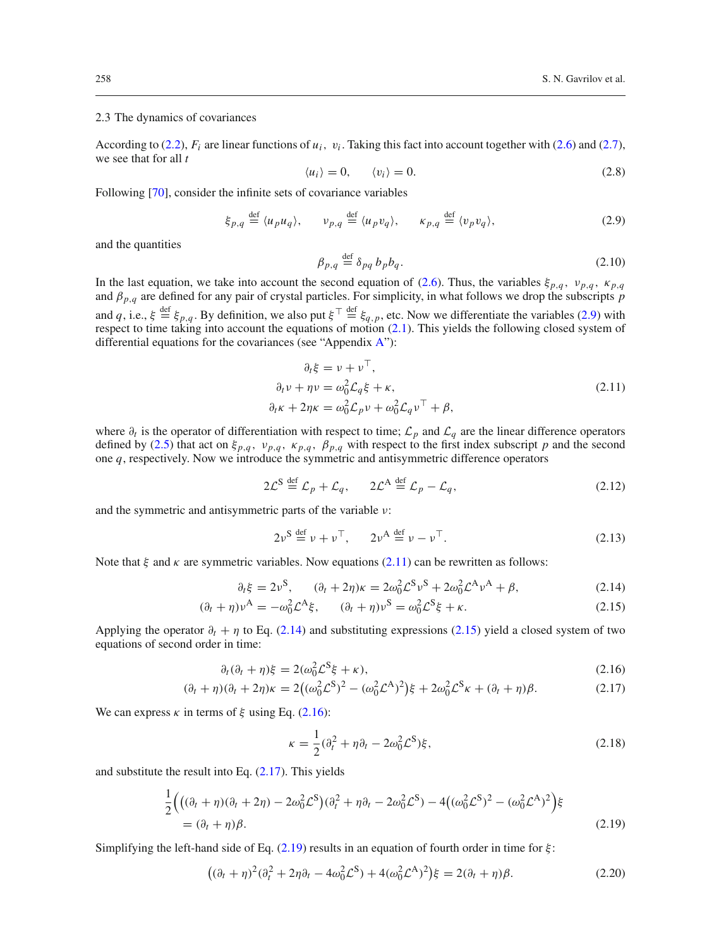# <span id="page-3-0"></span>2.3 The dynamics of covariances

According to [\(2.2\)](#page-2-5),  $F_i$  are linear functions of  $u_i$ ,  $v_i$ . Taking this fact into account together with [\(2.6\)](#page-2-6) and [\(2.7\)](#page-2-7), we see that for all *t*

<span id="page-3-1"></span>
$$
\langle u_i \rangle = 0, \qquad \langle v_i \rangle = 0. \tag{2.8}
$$

Following [\[70](#page-17-21)], consider the infinite sets of covariance variables

<span id="page-3-8"></span>
$$
\xi_{p,q} \stackrel{\text{def}}{=} \langle u_p u_q \rangle, \qquad \nu_{p,q} \stackrel{\text{def}}{=} \langle u_p v_q \rangle, \qquad \kappa_{p,q} \stackrel{\text{def}}{=} \langle v_p v_q \rangle,
$$
 (2.9)

and the quantities

<span id="page-3-2"></span>
$$
\beta_{p,q} \stackrel{\text{def}}{=} \delta_{pq} b_p b_q. \tag{2.10}
$$

In the last equation, we take into account the second equation of [\(2.6\)](#page-2-6). Thus, the variables  $\xi_{p,q}$ ,  $v_{p,q}$ ,  $\kappa_{p,q}$ and  $\beta_{p,q}$  are defined for any pair of crystal particles. For simplicity, in what follows we drop the subscripts  $\hat{p}$ and *q*, i.e.,  $\xi \stackrel{\text{def}}{=} \xi_{p,q}$ . By definition, we also put  $\xi^{\top} \stackrel{\text{def}}{=} \xi_{q,p}$ , etc. Now we differentiate the variables [\(2.9\)](#page-3-1) with respect to time taking into account the equations of motion [\(2.1\)](#page-2-3). This yields the following closed system of differential equations for the covariances (see "Appendix [A"](#page-15-1)):

$$
\partial_t \xi = v + v^\top,
$$
  
\n
$$
\partial_t v + \eta v = \omega_0^2 \mathcal{L}_q \xi + \kappa,
$$
  
\n
$$
\partial_t \kappa + 2\eta \kappa = \omega_0^2 \mathcal{L}_p v + \omega_0^2 \mathcal{L}_q v^\top + \beta,
$$
\n(2.11)

where ∂*<sup>t</sup>* is the operator of differentiation with respect to time; *L<sup>p</sup>* and *L<sup>q</sup>* are the linear difference operators defined by [\(2.5\)](#page-2-8) that act on  $\xi_{p,q}$ ,  $v_{p,q}$ ,  $\kappa_{p,q}$ ,  $\beta_{p,q}$  with respect to the first index subscript *p* and the second one *q*, respectively. Now we introduce the symmetric and antisymmetric difference operators

$$
2\mathcal{L}^{\mathcal{S}} \stackrel{\text{def}}{=} \mathcal{L}_p + \mathcal{L}_q, \qquad 2\mathcal{L}^{\mathcal{A}} \stackrel{\text{def}}{=} \mathcal{L}_p - \mathcal{L}_q,\tag{2.12}
$$

and the symmetric and antisymmetric parts of the variable ν:

$$
2\nu^{\mathcal{S}} \stackrel{\text{def}}{=} \nu + \nu^{\top}, \qquad 2\nu^{\mathcal{A}} \stackrel{\text{def}}{=} \nu - \nu^{\top}.
$$

Note that  $\xi$  and  $\kappa$  are symmetric variables. Now equations [\(2.11\)](#page-3-2) can be rewritten as follows:

<span id="page-3-3"></span>
$$
\partial_t \xi = 2\nu^S, \qquad (\partial_t + 2\eta)\kappa = 2\omega_0^2 \mathcal{L}^S \nu^S + 2\omega_0^2 \mathcal{L}^A \nu^A + \beta, \tag{2.14}
$$

$$
(\partial_t + \eta)\nu^A = -\omega_0^2 \mathcal{L}^A \xi, \qquad (\partial_t + \eta)\nu^S = \omega_0^2 \mathcal{L}^S \xi + \kappa. \tag{2.15}
$$

Applying the operator  $\partial_t + \eta$  to Eq. [\(2.14\)](#page-3-3) and substituting expressions [\(2.15\)](#page-3-3) yield a closed system of two equations of second order in time:

<span id="page-3-4"></span>
$$
\partial_t(\partial_t + \eta)\xi = 2(\omega_0^2 \mathcal{L}^S \xi + \kappa),\tag{2.16}
$$

$$
(\partial_t + \eta)(\partial_t + 2\eta)\kappa = 2\left((\omega_0^2 \mathcal{L}^S)^2 - (\omega_0^2 \mathcal{L}^A)^2\right)\xi + 2\omega_0^2 \mathcal{L}^S \kappa + (\partial_t + \eta)\beta. \tag{2.17}
$$

We can express  $\kappa$  in terms of  $\xi$  using Eq. [\(2.16\)](#page-3-4):

<span id="page-3-7"></span><span id="page-3-6"></span>
$$
\kappa = \frac{1}{2}(\partial_t^2 + \eta \partial_t - 2\omega_0^2 \mathcal{L}^S)\xi,
$$
\n(2.18)

and substitute the result into Eq. [\(2.17\)](#page-3-4). This yields

<span id="page-3-5"></span>
$$
\frac{1}{2}\Big(\big((\partial_t + \eta)(\partial_t + 2\eta) - 2\omega_0^2 \mathcal{L}^S\big)(\partial_t^2 + \eta \partial_t - 2\omega_0^2 \mathcal{L}^S) - 4\big((\omega_0^2 \mathcal{L}^S)^2 - (\omega_0^2 \mathcal{L}^A)^2\Big)\xi
$$
\n
$$
= (\partial_t + \eta)\beta.
$$
\n(2.19)

Simplifying the left-hand side of Eq.  $(2.19)$  results in an equation of fourth order in time for  $\xi$ :

$$
((\partial_t + \eta)^2 (\partial_t^2 + 2\eta \partial_t - 4\omega_0^2 \mathcal{L}^S) + 4(\omega_0^2 \mathcal{L}^A)^2) \xi = 2(\partial_t + \eta)\beta.
$$
 (2.20)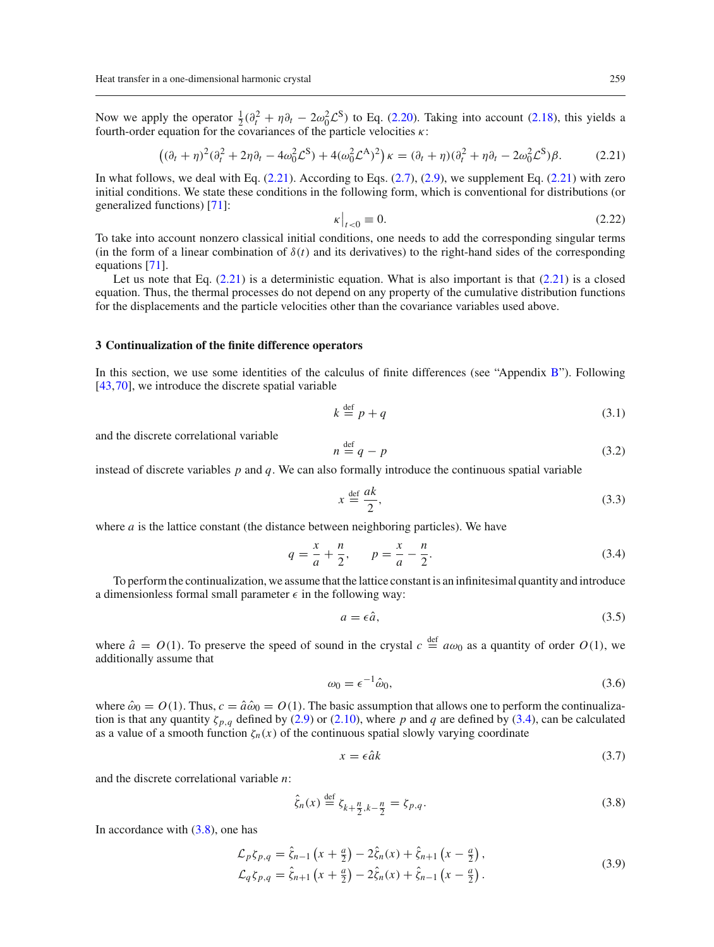Now we apply the operator  $\frac{1}{2}(\partial_t^2 + \eta \partial_t - 2\omega_0^2 \mathcal{L}^S)$  to Eq. [\(2.20\)](#page-3-6). Taking into account [\(2.18\)](#page-3-7), this yields a fourth-order equation for the covariances of the particle velocities  $\kappa$ :

<span id="page-4-5"></span>
$$
\left( (\partial_t + \eta)^2 (\partial_t^2 + 2\eta \partial_t - 4\omega_0^2 \mathcal{L}^S) + 4(\omega_0^2 \mathcal{L}^A)^2 \right) \kappa = (\partial_t + \eta)(\partial_t^2 + \eta \partial_t - 2\omega_0^2 \mathcal{L}^S) \beta. \tag{2.21}
$$

In what follows, we deal with Eq.  $(2.21)$ . According to Eqs.  $(2.7)$ ,  $(2.9)$ , we supplement Eq.  $(2.21)$  with zero initial conditions. We state these conditions in the following form, which is conventional for distributions (or generalized functions) [\[71](#page-17-22)]:

<span id="page-4-1"></span>
$$
\kappa\big|_{t<0}\equiv 0.\tag{2.22}
$$

To take into account nonzero classical initial conditions, one needs to add the corresponding singular terms (in the form of a linear combination of  $\delta(t)$  and its derivatives) to the right-hand sides of the corresponding equations [\[71\]](#page-17-22).

Let us note that Eq.  $(2.21)$  is a deterministic equation. What is also important is that  $(2.21)$  is a closed equation. Thus, the thermal processes do not depend on any property of the cumulative distribution functions for the displacements and the particle velocities other than the covariance variables used above.

#### <span id="page-4-0"></span>**3 Continualization of the finite difference operators**

In this section, we use some identities of the calculus of finite differences (see "Appendix [B"](#page-15-2)). Following [\[43](#page-17-8),[70\]](#page-17-21), we introduce the discrete spatial variable

$$
k \stackrel{\text{def}}{=} p + q \tag{3.1}
$$

and the discrete correlational variable

$$
n \stackrel{\text{def}}{=} q - p \tag{3.2}
$$

instead of discrete variables *p* and *q*. We can also formally introduce the continuous spatial variable

<span id="page-4-2"></span>
$$
x \stackrel{\text{def}}{=} \frac{ak}{2},\tag{3.3}
$$

where *a* is the lattice constant (the distance between neighboring particles). We have

$$
q = \frac{x}{a} + \frac{n}{2}, \qquad p = \frac{x}{a} - \frac{n}{2}.
$$
 (3.4)

To perform the continualization, we assume that the lattice constant is an infinitesimal quantity and introduce a dimensionless formal small parameter  $\epsilon$  in the following way:

<span id="page-4-4"></span>
$$
a = \epsilon \hat{a},\tag{3.5}
$$

where  $\hat{a} = O(1)$ . To preserve the speed of sound in the crystal  $c \stackrel{\text{def}}{=} a\omega_0$  as a quantity of order  $O(1)$ , we additionally assume that

$$
\omega_0 = \epsilon^{-1} \hat{\omega}_0,\tag{3.6}
$$

where  $\hat{\omega}_0 = O(1)$ . Thus,  $c = \hat{a}\hat{\omega}_0 = O(1)$ . The basic assumption that allows one to perform the continualization is that any quantity  $\zeta_{p,q}$  defined by [\(2.9\)](#page-3-1) or [\(2.10\)](#page-3-8), where p and q are defined by [\(3.4\)](#page-4-2), can be calculated as a value of a smooth function  $\zeta_n(x)$  of the continuous spatial slowly varying coordinate

$$
x = \epsilon \hat{a}k \tag{3.7}
$$

and the discrete correlational variable *n*:

<span id="page-4-3"></span>
$$
\hat{\zeta}_n(x) \stackrel{\text{def}}{=} \zeta_{k+\frac{n}{2},k-\frac{n}{2}} = \zeta_{p,q}.
$$
\n(3.8)

In accordance with  $(3.8)$ , one has

$$
\mathcal{L}_p \zeta_{p,q} = \hat{\zeta}_{n-1} \left( x + \frac{a}{2} \right) - 2 \hat{\zeta}_n(x) + \hat{\zeta}_{n+1} \left( x - \frac{a}{2} \right), \n\mathcal{L}_q \zeta_{p,q} = \hat{\zeta}_{n+1} \left( x + \frac{a}{2} \right) - 2 \hat{\zeta}_n(x) + \hat{\zeta}_{n-1} \left( x - \frac{a}{2} \right).
$$
\n(3.9)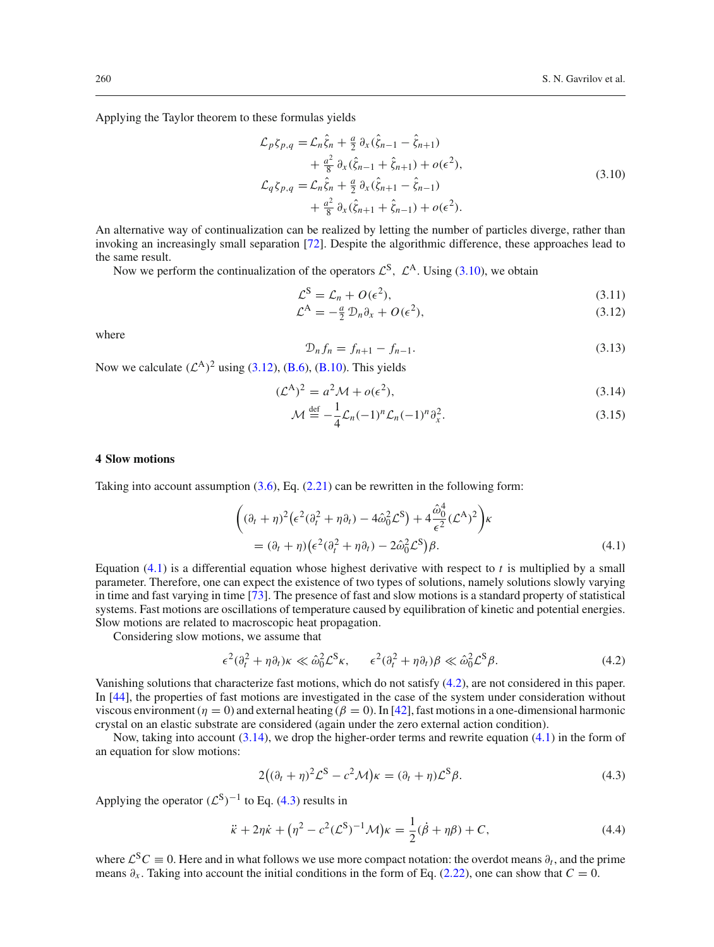Applying the Taylor theorem to these formulas yields

<span id="page-5-1"></span>
$$
\mathcal{L}_{p}\zeta_{p,q} = \mathcal{L}_{n}\hat{\zeta}_{n} + \frac{a}{2}\partial_{x}(\hat{\zeta}_{n-1} - \hat{\zeta}_{n+1}) \n+ \frac{a^{2}}{8}\partial_{x}(\hat{\zeta}_{n-1} + \hat{\zeta}_{n+1}) + o(\epsilon^{2}), \n\mathcal{L}_{q}\zeta_{p,q} = \mathcal{L}_{n}\hat{\zeta}_{n} + \frac{a}{2}\partial_{x}(\hat{\zeta}_{n+1} - \hat{\zeta}_{n-1}) \n+ \frac{a^{2}}{8}\partial_{x}(\hat{\zeta}_{n+1} + \hat{\zeta}_{n-1}) + o(\epsilon^{2}).
$$
\n(3.10)

An alternative way of continualization can be realized by letting the number of particles diverge, rather than invoking an increasingly small separation [\[72\]](#page-17-23). Despite the algorithmic difference, these approaches lead to the same result.

Now we perform the continualization of the operators  $\mathcal{L}^{S}$ ,  $\mathcal{L}^{A}$ . Using [\(3.10\)](#page-5-1), we obtain

<span id="page-5-2"></span>
$$
\mathcal{L}^{\mathcal{S}} = \mathcal{L}_n + O(\epsilon^2),\tag{3.11}
$$

$$
\mathcal{L}^{\mathcal{A}} = -\frac{a}{2} \mathcal{D}_n \partial_x + O(\epsilon^2), \tag{3.12}
$$

where

$$
\mathcal{D}_n f_n = f_{n+1} - f_{n-1}.\tag{3.13}
$$

Now we calculate  $({\mathcal{L}}^A)^2$  using [\(3.12\)](#page-5-2), [\(B.6\)](#page-15-3), [\(B.10\)](#page-15-4). This yields

<span id="page-5-5"></span>
$$
(\mathcal{L}^A)^2 = a^2 \mathcal{M} + o(\epsilon^2),\tag{3.14}
$$

$$
\mathcal{M} \stackrel{\text{def}}{=} -\frac{1}{4} \mathcal{L}_n (-1)^n \mathcal{L}_n (-1)^n \partial_x^2.
$$
 (3.15)

# <span id="page-5-0"></span>**4 Slow motions**

Taking into account assumption  $(3.6)$ , Eq.  $(2.21)$  can be rewritten in the following form:

<span id="page-5-3"></span>
$$
\begin{aligned} \left( (\partial_t + \eta)^2 \left( \epsilon^2 (\partial_t^2 + \eta \partial_t) - 4 \hat{\omega}_0^2 \mathcal{L}^S \right) + 4 \frac{\hat{\omega}_0^4}{\epsilon^2} (\mathcal{L}^A)^2 \right) &\kappa \\ &= (\partial_t + \eta) \left( \epsilon^2 (\partial_t^2 + \eta \partial_t) - 2 \hat{\omega}_0^2 \mathcal{L}^S \right) &\beta. \end{aligned} \tag{4.1}
$$

Equation [\(4.1\)](#page-5-3) is a differential equation whose highest derivative with respect to *t* is multiplied by a small parameter. Therefore, one can expect the existence of two types of solutions, namely solutions slowly varying in time and fast varying in time [\[73](#page-17-24)]. The presence of fast and slow motions is a standard property of statistical systems. Fast motions are oscillations of temperature caused by equilibration of kinetic and potential energies. Slow motions are related to macroscopic heat propagation.

Considering slow motions, we assume that

<span id="page-5-4"></span>
$$
\epsilon^2(\partial_t^2 + \eta \partial_t)\kappa \ll \hat{\omega}_0^2 \mathcal{L}^S \kappa, \qquad \epsilon^2(\partial_t^2 + \eta \partial_t)\beta \ll \hat{\omega}_0^2 \mathcal{L}^S \beta. \tag{4.2}
$$

Vanishing solutions that characterize fast motions, which do not satisfy [\(4.2\)](#page-5-4), are not considered in this paper. In [\[44\]](#page-17-0), the properties of fast motions are investigated in the case of the system under consideration without viscous environment ( $\eta = 0$ ) and external heating ( $\beta = 0$ ). In [\[42\]](#page-17-12), fast motions in a one-dimensional harmonic crystal on an elastic substrate are considered (again under the zero external action condition).

Now, taking into account  $(3.14)$ , we drop the higher-order terms and rewrite equation  $(4.1)$  in the form of an equation for slow motions:

<span id="page-5-7"></span><span id="page-5-6"></span>
$$
2((\partial_t + \eta)^2 \mathcal{L}^S - c^2 \mathcal{M})\kappa = (\partial_t + \eta) \mathcal{L}^S \beta.
$$
 (4.3)

Applying the operator  $(\mathcal{L}^S)^{-1}$  to Eq. [\(4.3\)](#page-5-6) results in

$$
\ddot{\kappa} + 2\eta \dot{\kappa} + (\eta^2 - c^2 (L^S)^{-1} \mathcal{M}) \kappa = \frac{1}{2} (\dot{\beta} + \eta \beta) + C,
$$
 (4.4)

where  $\mathcal{L}^{S}C \equiv 0$ . Here and in what follows we use more compact notation: the overdot means  $\partial_t$ , and the prime means  $\partial_x$ . Taking into account the initial conditions in the form of Eq. [\(2.22\)](#page-4-5), one can show that  $C = 0$ .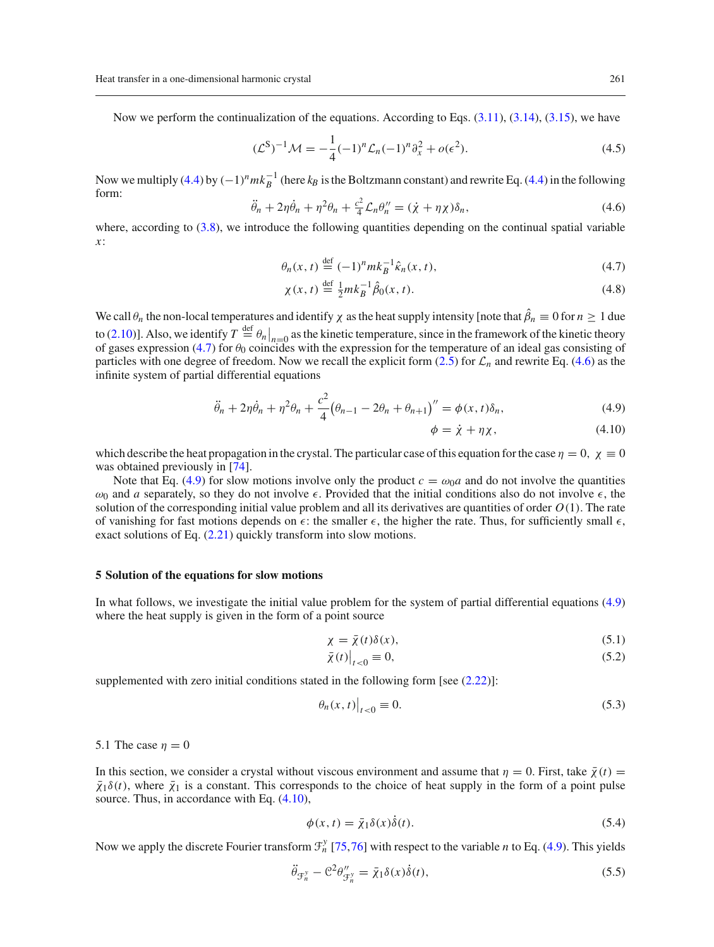Now we perform the continualization of the equations. According to Eqs.  $(3.11)$ ,  $(3.14)$ ,  $(3.15)$ , we have

$$
(\mathcal{L}^{S})^{-1}\mathcal{M} = -\frac{1}{4}(-1)^{n}\mathcal{L}_{n}(-1)^{n}\partial_{x}^{2} + o(\epsilon^{2}).
$$
\n(4.5)

<span id="page-6-3"></span>Now we multiply [\(4.4\)](#page-5-7) by  $(-1)^n m k_B^{-1}$  (here  $k_B$  is the Boltzmann constant) and rewrite Eq. (4.4) in the following form:

$$
\ddot{\theta}_n + 2\eta \dot{\theta}_n + \eta^2 \theta_n + \frac{c^2}{4} \mathcal{L}_n \theta''_n = (\dot{\chi} + \eta \chi) \delta_n, \tag{4.6}
$$

where, according to [\(3.8\)](#page-4-3), we introduce the following quantities depending on the continual spatial variable *x*:

<span id="page-6-2"></span>
$$
\theta_n(x,t) \stackrel{\text{def}}{=} (-1)^n m k_B^{-1} \hat{\kappa}_n(x,t),\tag{4.7}
$$

$$
\chi(x,t) \stackrel{\text{def}}{=} \frac{1}{2}mk_B^{-1}\hat{\beta}_0(x,t). \tag{4.8}
$$

We call  $\theta_n$  the non-local temperatures and identify  $\chi$  as the heat supply intensity [note that  $\beta_n \equiv 0$  for  $n \ge 1$  due to [\(2.10\)](#page-3-8)]. Also, we identify  $T \stackrel{\text{def}}{=} \theta_n|_{n=0}$  as the kinetic temperature, since in the framework of the kinetic theory<br>of gases expression [\(4.7\)](#page-6-2) for  $\theta_0$  coincides with the expression for the temperature of an id particles with one degree of freedom. Now we recall the explicit form  $(2.5)$  for  $\mathcal{L}_n$  and rewrite Eq. [\(4.6\)](#page-6-3) as the infinite system of partial differential equations

<span id="page-6-4"></span>
$$
\ddot{\theta}_n + 2\eta \dot{\theta}_n + \eta^2 \theta_n + \frac{c^2}{4} (\theta_{n-1} - 2\theta_n + \theta_{n+1})'' = \phi(x, t) \delta_n,
$$
\n(4.9)

$$
\phi = \dot{\chi} + \eta \chi, \tag{4.10}
$$

which describe the heat propagation in the crystal. The particular case of this equation for the case  $\eta = 0$ ,  $\chi \equiv 0$ was obtained previously in [\[74\]](#page-17-25).

Note that Eq. [\(4.9\)](#page-6-4) for slow motions involve only the product  $c = \omega_0 a$  and do not involve the quantities  $\omega_0$  and *a* separately, so they do not involve  $\epsilon$ . Provided that the initial conditions also do not involve  $\epsilon$ , the solution of the corresponding initial value problem and all its derivatives are quantities of order *O*(1). The rate of vanishing for fast motions depends on  $\epsilon$ : the smaller  $\epsilon$ , the higher the rate. Thus, for sufficiently small  $\epsilon$ , exact solutions of Eq. [\(2.21\)](#page-4-1) quickly transform into slow motions.

# <span id="page-6-0"></span>**5 Solution of the equations for slow motions**

In what follows, we investigate the initial value problem for the system of partial differential equations [\(4.9\)](#page-6-4) where the heat supply is given in the form of a point source

<span id="page-6-7"></span>
$$
\chi = \bar{\chi}(t)\delta(x),\tag{5.1}
$$

<span id="page-6-6"></span>
$$
\bar{\chi}(t)\big|_{t<0}\equiv 0,\tag{5.2}
$$

supplemented with zero initial conditions stated in the following form [see  $(2.22)$ ]:

$$
\left.\theta_n(x,t)\right|_{t<0}\equiv 0.\tag{5.3}
$$

<span id="page-6-1"></span>5.1 The case  $n = 0$ 

In this section, we consider a crystal without viscous environment and assume that  $\eta = 0$ . First, take  $\bar{\chi}(t) =$  $\bar{\chi}_1\delta(t)$ , where  $\bar{\chi}_1$  is a constant. This corresponds to the choice of heat supply in the form of a point pulse source. Thus, in accordance with Eq.  $(4.10)$ ,

<span id="page-6-5"></span>
$$
\phi(x,t) = \bar{\chi}_1 \delta(x) \dot{\delta}(t). \tag{5.4}
$$

Now we apply the discrete Fourier transform  $\mathcal{F}_n^y$  [\[75,](#page-17-26)[76](#page-17-27)] with respect to the variable *n* to Eq. [\(4.9\)](#page-6-4). This yields

$$
\ddot{\theta}_{\mathcal{F}_n^y} - \mathcal{C}^2 \theta_{\mathcal{F}_n^y}'' = \bar{\chi}_1 \delta(x) \dot{\delta}(t),\tag{5.5}
$$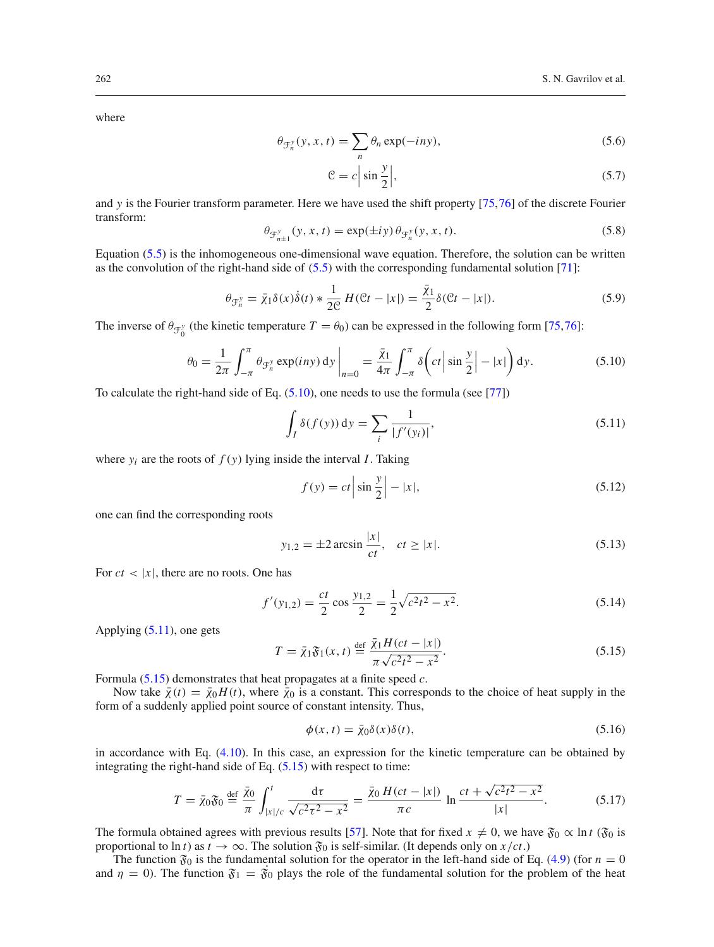where

<span id="page-7-5"></span>
$$
\theta_{\mathcal{F}_n^y}(y, x, t) = \sum_n \theta_n \exp(-iny),\tag{5.6}
$$

<span id="page-7-0"></span>
$$
\mathcal{C} = c \left| \sin \frac{y}{2} \right|,\tag{5.7}
$$

<span id="page-7-4"></span>and *y* is the Fourier transform parameter. Here we have used the shift property [\[75](#page-17-26)[,76](#page-17-27)] of the discrete Fourier transform:

$$
\theta_{\mathcal{F}_{n\pm 1}^y}(y,x,t) = \exp(\pm iy) \theta_{\mathcal{F}_n^y}(y,x,t).
$$
\n(5.8)

Equation [\(5.5\)](#page-6-5) is the inhomogeneous one-dimensional wave equation. Therefore, the solution can be written as the convolution of the right-hand side of [\(5.5\)](#page-6-5) with the corresponding fundamental solution [\[71](#page-17-22)]:

$$
\theta_{\mathcal{F}_n^y} = \bar{\chi}_1 \delta(x) \dot{\delta}(t) * \frac{1}{2\mathcal{C}} H(\mathcal{C}t - |x|) = \frac{\bar{\chi}_1}{2} \delta(\mathcal{C}t - |x|). \tag{5.9}
$$

The inverse of  $\theta_{\mathcal{F}_0^y}$  (the kinetic temperature  $T = \theta_0$ ) can be expressed in the following form [\[75](#page-17-26)[,76](#page-17-27)]:

$$
\theta_0 = \frac{1}{2\pi} \int_{-\pi}^{\pi} \theta_{\mathcal{F}_n^y} \exp(iny) \, dy \bigg|_{n=0} = \frac{\bar{\chi}_1}{4\pi} \int_{-\pi}^{\pi} \delta\bigg(ct \left| \sin \frac{y}{2} \right| - |x| \bigg) \, dy. \tag{5.10}
$$

To calculate the right-hand side of Eq. [\(5.10\)](#page-7-0), one needs to use the formula (see [\[77\]](#page-17-28))

$$
\int_{I} \delta(f(y)) \, dy = \sum_{i} \frac{1}{|f'(y_i)|},\tag{5.11}
$$

where  $y_i$  are the roots of  $f(y)$  lying inside the interval *I*. Taking

<span id="page-7-1"></span>
$$
f(y) = ct \left| \sin \frac{y}{2} \right| - |x|,
$$
\n(5.12)

one can find the corresponding roots

$$
y_{1,2} = \pm 2 \arcsin \frac{|x|}{ct}, \quad ct \ge |x|.
$$
 (5.13)

For  $ct < |x|$ , there are no roots. One has

$$
f'(y_{1,2}) = \frac{ct}{2} \cos \frac{y_{1,2}}{2} = \frac{1}{2} \sqrt{c^2 t^2 - x^2}.
$$
 (5.14)

Applying [\(5.11\)](#page-7-1), one gets

<span id="page-7-2"></span>
$$
T = \bar{\chi}_1 \mathfrak{F}_1(x, t) \stackrel{\text{def}}{=} \frac{\bar{\chi}_1 H(ct - |x|)}{\pi \sqrt{c^2 t^2 - x^2}}.
$$
\n
$$
(5.15)
$$

Formula [\(5.15\)](#page-7-2) demonstrates that heat propagates at a finite speed *c*.

Now take  $\bar{\chi}(t) = \bar{\chi}_0 H(t)$ , where  $\bar{\chi}_0$  is a constant. This corresponds to the choice of heat supply in the form of a suddenly applied point source of constant intensity. Thus,

<span id="page-7-3"></span>
$$
\phi(x,t) = \bar{\chi}_0 \delta(x) \delta(t),\tag{5.16}
$$

in accordance with Eq. [\(4.10\)](#page-6-4). In this case, an expression for the kinetic temperature can be obtained by integrating the right-hand side of Eq.  $(5.15)$  with respect to time:

$$
T = \bar{\chi}_0 \mathfrak{F}_0 \stackrel{\text{def}}{=} \frac{\bar{\chi}_0}{\pi} \int_{|x|/c}^t \frac{d\tau}{\sqrt{c^2 \tau^2 - x^2}} = \frac{\bar{\chi}_0 H(ct - |x|)}{\pi c} \ln \frac{ct + \sqrt{c^2 t^2 - x^2}}{|x|}. \tag{5.17}
$$

The formula obtained agrees with previous results [\[57\]](#page-17-9). Note that for fixed  $x \neq 0$ , we have  $\mathfrak{F}_0 \propto \ln t$  ( $\mathfrak{F}_0$  is proportional to ln *t*) as  $t \to \infty$ . The solution  $\mathfrak{F}_0$  is self-similar. (It depends only on  $x/ct$ .)

The function  $\mathfrak{F}_0$  is the fundamental solution for the operator in the left-hand side of Eq. [\(4.9\)](#page-6-4) (for  $n = 0$ and  $\eta = 0$ ). The function  $\mathfrak{F}_1 = \mathfrak{F}_0$  plays the role of the fundamental solution for the problem of the heat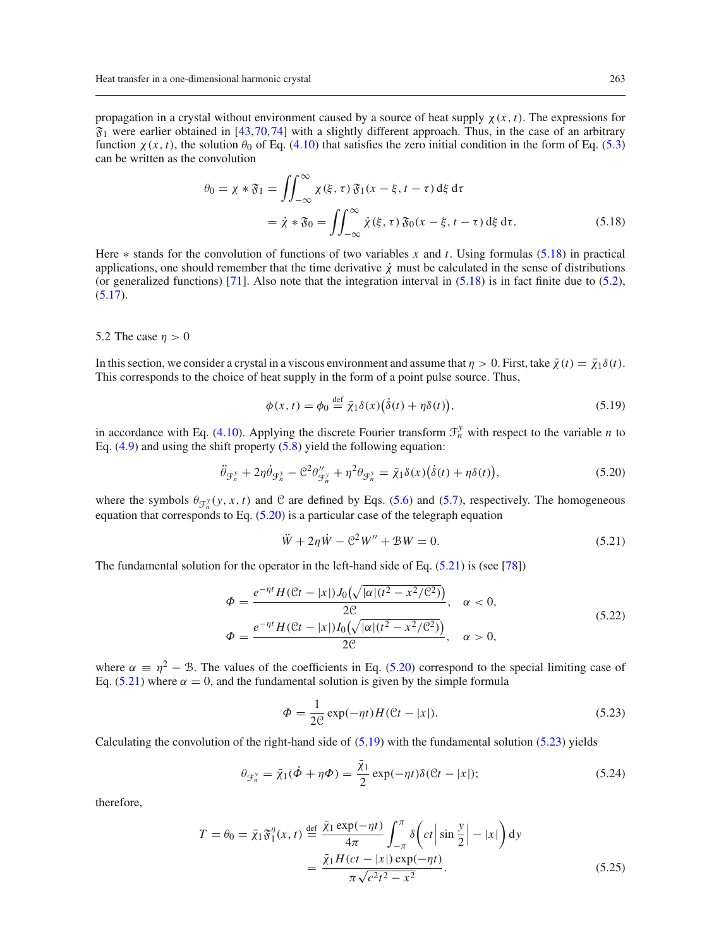propagation in a crystal without environment caused by a source of heat supply  $\chi(x, t)$ . The expressions for  $\mathfrak{F}_1$  were earlier obtained in [\[43](#page-17-8),[70](#page-17-21)[,74](#page-17-25)] with a slightly different approach. Thus, in the case of an arbitrary function  $\chi(x, t)$ , the solution  $\theta_0$  of Eq. [\(4.10\)](#page-6-4) that satisfies the zero initial condition in the form of Eq. [\(5.3\)](#page-6-6) can be written as the convolution

<span id="page-8-1"></span>
$$
\theta_0 = \chi * \mathfrak{F}_1 = \iint_{-\infty}^{\infty} \chi(\xi, \tau) \mathfrak{F}_1(x - \xi, t - \tau) d\xi d\tau
$$
  
=  $\dot{\chi} * \mathfrak{F}_0 = \iint_{-\infty}^{\infty} \dot{\chi}(\xi, \tau) \mathfrak{F}_0(x - \xi, t - \tau) d\xi d\tau.$  (5.18)

Here ∗ stands for the convolution of functions of two variables *x* and *t*. Using formulas [\(5.18\)](#page-8-1) in practical applications, one should remember that the time derivative  $\dot{\chi}$  must be calculated in the sense of distributions (or generalized functions) [\[71](#page-17-22)]. Also note that the integration interval in  $(5.18)$  is in fact finite due to  $(5.2)$ ,  $(5.17).$  $(5.17).$ 

#### <span id="page-8-0"></span>5.2 The case  $\eta > 0$

In this section, we consider a crystal in a viscous environment and assume that  $\eta > 0$ . First, take  $\bar{\chi}(t) = \bar{\chi}_1 \delta(t)$ . This corresponds to the choice of heat supply in the form of a point pulse source. Thus,

<span id="page-8-4"></span><span id="page-8-2"></span>
$$
\phi(x,t) = \phi_0 \stackrel{\text{def}}{=} \bar{\chi}_1 \delta(x) (\dot{\delta}(t) + \eta \delta(t)),\tag{5.19}
$$

in accordance with Eq. [\(4.10\)](#page-6-4). Applying the discrete Fourier transform  $\mathcal{F}_n^y$  with respect to the variable *n* to Eq.  $(4.9)$  and using the shift property  $(5.8)$  yield the following equation:

$$
\ddot{\theta}_{\mathcal{F}_n^y} + 2\eta \dot{\theta}_{\mathcal{F}_n^y} - \mathcal{C}^2 \theta_{\mathcal{F}_n^y} + \eta^2 \theta_{\mathcal{F}_n^y} = \bar{\chi}_1 \delta(x) (\dot{\delta}(t) + \eta \delta(t)), \tag{5.20}
$$

where the symbols  $\theta_{\mathcal{F}_n^y}(y, x, t)$  and C are defined by Eqs. [\(5.6\)](#page-7-5) and [\(5.7\)](#page-7-5), respectively. The homogeneous equation that corresponds to Eq.  $(5.20)$  is a particular case of the telegraph equation

<span id="page-8-3"></span>
$$
\ddot{W} + 2\eta \dot{W} - \mathcal{C}^2 W'' + \mathcal{B}W = 0.
$$
\n(5.21)

The fundamental solution for the operator in the left-hand side of Eq. [\(5.21\)](#page-8-3) is (see [\[78](#page-17-29)])

$$
\Phi = \frac{e^{-\eta t} H(\mathcal{C}t - |x|) J_0(\sqrt{|\alpha|(t^2 - x^2/\mathcal{C}^2)})}{2\mathcal{C}}, \quad \alpha < 0,
$$
  

$$
\Phi = \frac{e^{-\eta t} H(\mathcal{C}t - |x|) I_0(\sqrt{|\alpha|(t^2 - x^2/\mathcal{C}^2)})}{2\mathcal{C}}, \quad \alpha > 0,
$$
(5.22)

where  $\alpha \equiv \eta^2 - \mathcal{B}$ . The values of the coefficients in Eq. [\(5.20\)](#page-8-2) correspond to the special limiting case of Eq. [\(5.21\)](#page-8-3) where  $\alpha = 0$ , and the fundamental solution is given by the simple formula

<span id="page-8-5"></span>
$$
\Phi = \frac{1}{2\mathcal{C}} \exp(-\eta t) H(\mathcal{C}t - |x|). \tag{5.23}
$$

Calculating the convolution of the right-hand side of  $(5.19)$  with the fundamental solution  $(5.23)$  yields

$$
\theta_{\mathcal{F}_n^{\gamma}} = \bar{\chi}_1(\dot{\phi} + \eta \Phi) = \frac{\bar{\chi}_1}{2} \exp(-\eta t) \delta(\mathcal{C}t - |x|); \tag{5.24}
$$

therefore,

<span id="page-8-6"></span>
$$
T = \theta_0 = \bar{\chi}_1 \mathfrak{F}_1^{\eta}(x, t) \stackrel{\text{def}}{=} \frac{\bar{\chi}_1 \exp(-\eta t)}{4\pi} \int_{-\pi}^{\pi} \delta\left(ct \left| \sin \frac{y}{2} \right| - |x| \right) dy
$$

$$
= \frac{\bar{\chi}_1 H(ct - |x|) \exp(-\eta t)}{\pi \sqrt{c^2 t^2 - x^2}}.
$$
(5.25)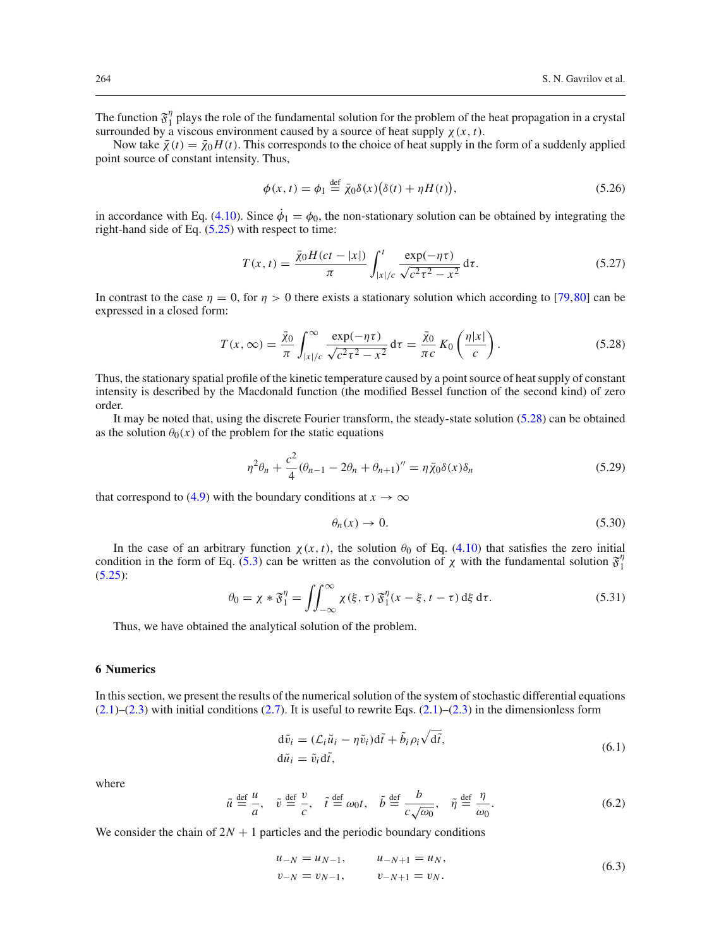The function  $\mathfrak{F}_1^{\eta}$  plays the role of the fundamental solution for the problem of the heat propagation in a crystal surrounded by a viscous environment caused by a source of heat supply  $\chi(x, t)$ .

Now take  $\bar{\chi}(t) = \bar{\chi}_0 H(t)$ . This corresponds to the choice of heat supply in the form of a suddenly applied point source of constant intensity. Thus,

<span id="page-9-2"></span>
$$
\phi(x,t) = \phi_1 \stackrel{\text{def}}{=} \bar{\chi}_0 \delta(x) \big( \delta(t) + \eta H(t) \big),\tag{5.26}
$$

in accordance with Eq. [\(4.10\)](#page-6-4). Since  $\dot{\phi}_1 = \phi_0$ , the non-stationary solution can be obtained by integrating the right-hand side of Eq.  $(5.25)$  with respect to time:

$$
T(x,t) = \frac{\bar{\chi}_0 H(ct - |x|)}{\pi} \int_{|x|/c}^{t} \frac{\exp(-\eta \tau)}{\sqrt{c^2 \tau^2 - x^2}} d\tau.
$$
 (5.27)

In contrast to the case  $\eta = 0$ , for  $\eta > 0$  there exists a stationary solution which according to [\[79,](#page-17-30)[80](#page-17-31)] can be expressed in a closed form:

<span id="page-9-1"></span>
$$
T(x,\infty) = \frac{\bar{x}_0}{\pi} \int_{|x|/c}^{\infty} \frac{\exp(-\eta \tau)}{\sqrt{c^2 \tau^2 - x^2}} d\tau = \frac{\bar{x}_0}{\pi c} K_0 \left(\frac{\eta |x|}{c}\right). \tag{5.28}
$$

Thus, the stationary spatial profile of the kinetic temperature caused by a point source of heat supply of constant intensity is described by the Macdonald function (the modified Bessel function of the second kind) of zero order.

It may be noted that, using the discrete Fourier transform, the steady-state solution [\(5.28\)](#page-9-1) can be obtained as the solution  $\theta_0(x)$  of the problem for the static equations

$$
\eta^2 \theta_n + \frac{c^2}{4} (\theta_{n-1} - 2\theta_n + \theta_{n+1})'' = \eta \bar{\chi}_0 \delta(x) \delta_n \tag{5.29}
$$

that correspond to [\(4.9\)](#page-6-4) with the boundary conditions at  $x \to \infty$ 

$$
\theta_n(x) \to 0. \tag{5.30}
$$

<span id="page-9-4"></span>In the case of an arbitrary function  $\chi(x, t)$ , the solution  $\theta_0$  of Eq. [\(4.10\)](#page-6-4) that satisfies the zero initial condition in the form of Eq. [\(5.3\)](#page-6-6) can be written as the convolution of  $\chi$  with the fundamental solution  $\mathfrak{F}_1^{\eta}$ [\(5.25\)](#page-8-6):

$$
\theta_0 = \chi * \mathfrak{F}_1^{\eta} = \iint_{-\infty}^{\infty} \chi(\xi, \tau) \mathfrak{F}_1^{\eta} (x - \xi, t - \tau) d\xi d\tau.
$$
 (5.31)

Thus, we have obtained the analytical solution of the problem.

### <span id="page-9-0"></span>**6 Numerics**

In this section, we present the results of the numerical solution of the system of stochastic differential equations  $(2.1)$ – $(2.3)$  with initial conditions  $(2.7)$ . It is useful to rewrite Eqs.  $(2.1)$ – $(2.3)$  in the dimensionless form

$$
d\tilde{v}_i = (\mathcal{L}_i \tilde{u}_i - \eta \tilde{v}_i) d\tilde{t} + \tilde{b}_i \rho_i \sqrt{d\tilde{t}},
$$
  
\n
$$
d\tilde{u}_i = \tilde{v}_i d\tilde{t},
$$
\n(6.1)

<span id="page-9-3"></span>where

$$
\tilde{u} \stackrel{\text{def}}{=} \frac{u}{a}, \quad \tilde{v} \stackrel{\text{def}}{=} \frac{v}{c}, \quad \tilde{t} \stackrel{\text{def}}{=} \omega_0 t, \quad \tilde{b} \stackrel{\text{def}}{=} \frac{b}{c\sqrt{\omega_0}}, \quad \tilde{\eta} \stackrel{\text{def}}{=} \frac{\eta}{\omega_0}.
$$
\n(6.2)

We consider the chain of  $2N + 1$  particles and the periodic boundary conditions

$$
u_{-N} = u_{N-1}, \t u_{-N+1} = u_N,
$$
  
\n
$$
v_{-N} = v_{N-1}, \t v_{-N+1} = v_N.
$$
\n(6.3)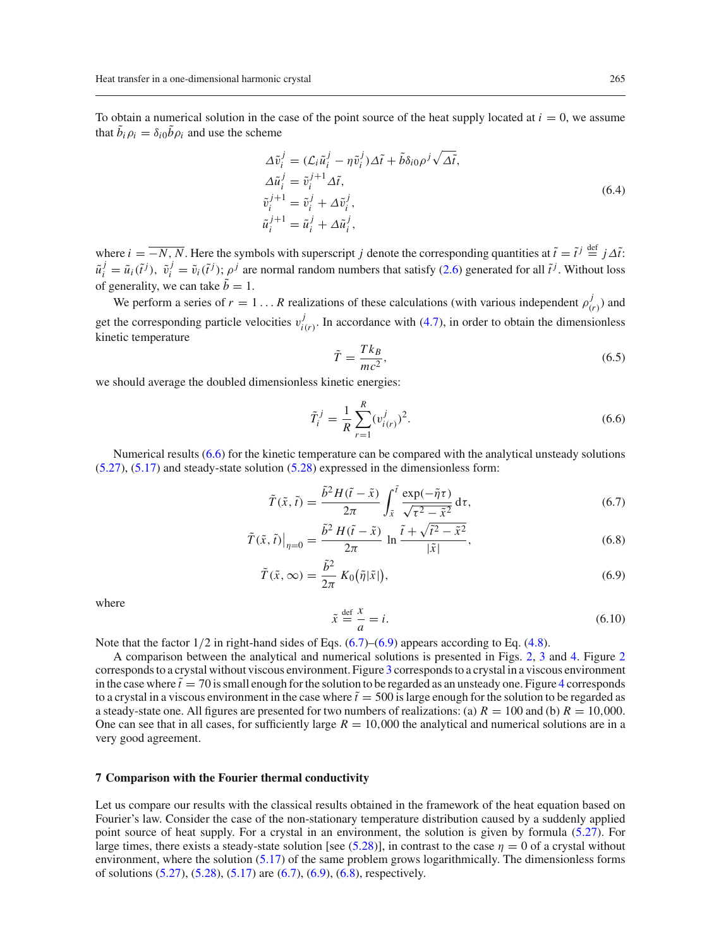To obtain a numerical solution in the case of the point source of the heat supply located at  $i = 0$ , we assume that  $b_i \rho_i = \delta_{i0} b \rho_i$  and use the scheme

$$
\Delta \tilde{v}_i^j = (\mathcal{L}_i \tilde{u}_i^j - \eta \tilde{v}_i^j) \Delta \tilde{t} + \tilde{b} \delta_{i0} \rho^j \sqrt{\Delta \tilde{t}},
$$
  
\n
$$
\Delta \tilde{u}_i^j = \tilde{v}_i^{j+1} \Delta \tilde{t},
$$
  
\n
$$
\tilde{v}_i^{j+1} = \tilde{v}_i^j + \Delta \tilde{v}_i^j,
$$
  
\n
$$
\tilde{u}_i^{j+1} = \tilde{u}_i^j + \Delta \tilde{u}_i^j,
$$
\n(6.4)

where  $i = \overline{-N, N}$ . Here the symbols with superscript *j* denote the corresponding quantities at  $\tilde{t} = \tilde{t}^j \stackrel{\text{def}}{=} j \Delta \tilde{t}$ :  $\tilde{u}_i^j = \tilde{u}_i(\tilde{t}^j)$ ,  $\tilde{v}_i^j = \tilde{v}_i(\tilde{t}^j)$ ;  $\rho^j$  are normal random numbers that satisfy [\(2.6\)](#page-2-6) generated for all  $\tilde{t}^j$ . Without loss of generality, we can take  $\tilde{b} = 1$ .

<span id="page-10-3"></span>We perform a series of  $r = 1...R$  realizations of these calculations (with various independent  $\rho_{(r)}^j$ ) and get the corresponding particle velocities  $v_{i(r)}^j$ . In accordance with [\(4.7\)](#page-6-2), in order to obtain the dimensionless kinetic temperature

<span id="page-10-1"></span>
$$
\tilde{T} = \frac{Tk_B}{mc^2},\tag{6.5}
$$

we should average the doubled dimensionless kinetic energies:

$$
\tilde{T}_i^j = \frac{1}{R} \sum_{r=1}^R (v_{i(r)}^j)^2.
$$
\n(6.6)

Numerical results [\(6.6\)](#page-10-1) for the kinetic temperature can be compared with the analytical unsteady solutions [\(5.27\)](#page-9-2), [\(5.17\)](#page-7-3) and steady-state solution [\(5.28\)](#page-9-1) expressed in the dimensionless form:

<span id="page-10-2"></span>
$$
\tilde{T}(\tilde{x},\tilde{t}) = \frac{\tilde{b}^2 H(\tilde{t} - \tilde{x})}{2\pi} \int_{\tilde{x}}^{\tilde{t}} \frac{\exp(-\tilde{\eta}\tau)}{\sqrt{\tau^2 - \tilde{x}^2}} d\tau,\tag{6.7}
$$

$$
\tilde{T}(\tilde{x},\tilde{t})\big|_{\eta=0} = \frac{\tilde{b}^2 H(\tilde{t}-\tilde{x})}{2\pi} \ln \frac{\tilde{t} + \sqrt{\tilde{t}^2 - \tilde{x}^2}}{|\tilde{x}|},\tag{6.8}
$$

$$
\tilde{T}(\tilde{x}, \infty) = \frac{\tilde{b}^2}{2\pi} K_0(\tilde{\eta}|\tilde{x}|),
$$
\n(6.9)

<span id="page-10-4"></span>where

$$
\tilde{x} \stackrel{\text{def}}{=} \frac{x}{a} = i. \tag{6.10}
$$

Note that the factor  $1/2$  in right-hand sides of Eqs.  $(6.7)$ – $(6.9)$  appears according to Eq.  $(4.8)$ .

A comparison between the analytical and numerical solutions is presented in Figs. [2,](#page-11-0) [3](#page-12-0) and [4.](#page-13-0) Figure [2](#page-11-0) corresponds to a crystal without viscous environment. Figure [3](#page-12-0) corresponds to a crystal in a viscous environment in the case where  $\tilde{t} = 70$  is small enough for the solution to be regarded as an unsteady one. Figure [4](#page-13-0) corresponds to a crystal in a viscous environment in the case where  $\tilde{t} = 500$  is large enough for the solution to be regarded as a steady-state one. All figures are presented for two numbers of realizations: (a)  $R = 100$  and (b)  $R = 10,000$ . One can see that in all cases, for sufficiently large  $R = 10,000$  the analytical and numerical solutions are in a very good agreement.

### <span id="page-10-0"></span>**7 Comparison with the Fourier thermal conductivity**

Let us compare our results with the classical results obtained in the framework of the heat equation based on Fourier's law. Consider the case of the non-stationary temperature distribution caused by a suddenly applied point source of heat supply. For a crystal in an environment, the solution is given by formula [\(5.27\)](#page-9-2). For large times, there exists a steady-state solution [see [\(5.28\)](#page-9-1)], in contrast to the case  $\eta = 0$  of a crystal without environment, where the solution [\(5.17\)](#page-7-3) of the same problem grows logarithmically. The dimensionless forms of solutions [\(5.27\)](#page-9-2), [\(5.28\)](#page-9-1), [\(5.17\)](#page-7-3) are [\(6.7\)](#page-10-2), [\(6.9\)](#page-10-2), [\(6.8\)](#page-10-2), respectively.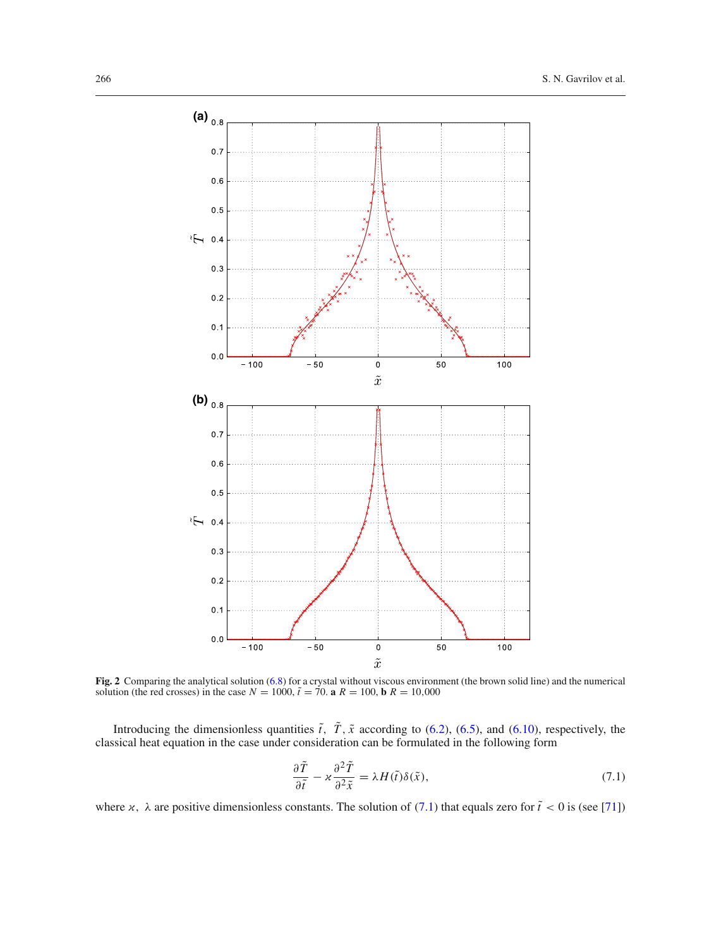

<span id="page-11-0"></span>**Fig. 2** Comparing the analytical solution [\(6.8\)](#page-10-2) for a crystal without viscous environment (the brown solid line) and the numerical solution (the red crosses) in the case  $N = 1000$ ,  $\tilde{t} = 70$ . **a**  $R = 100$ , **b**  $R = 10,000$ 

Introducing the dimensionless quantities  $\tilde{t}$ ,  $T$ ,  $\tilde{x}$  according to [\(6.2\)](#page-9-3), [\(6.5\)](#page-10-3), and [\(6.10\)](#page-10-4), respectively, the classical heat equation in the case under consideration can be formulated in the following form

<span id="page-11-1"></span>
$$
\frac{\partial \tilde{T}}{\partial \tilde{t}} - \varkappa \frac{\partial^2 \tilde{T}}{\partial^2 \tilde{x}} = \lambda H(\tilde{t}) \delta(\tilde{x}),\tag{7.1}
$$

where  $x$ ,  $\lambda$  are positive dimensionless constants. The solution of [\(7.1\)](#page-11-1) that equals zero for  $\tilde{t} < 0$  is (see [\[71](#page-17-22)])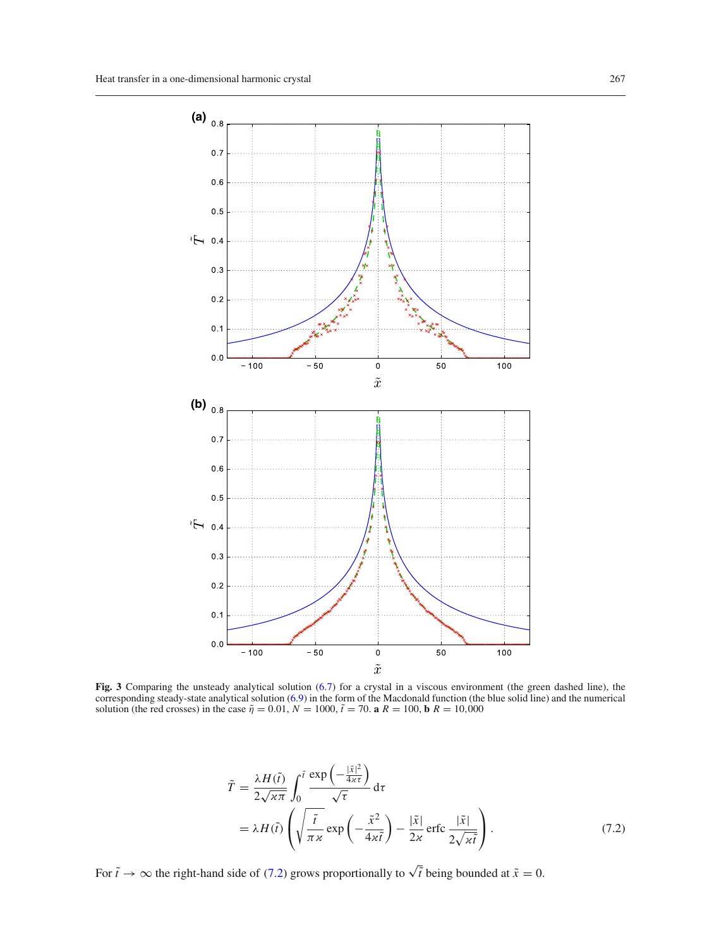

<span id="page-12-0"></span>**Fig. 3** Comparing the unsteady analytical solution [\(6.7\)](#page-10-2) for a crystal in a viscous environment (the green dashed line), the corresponding steady-state analytical solution [\(6.9\)](#page-10-2) in the form of the Macdonald function (the blue solid line) and the numerical solution (the red crosses) in the case  $\tilde{\eta} = 0.01$ ,  $N = 1000$ ,  $\tilde{t} = 70$ . **a**  $R = 100$ , **b**  $R = 10,000$ 

<span id="page-12-1"></span>
$$
\tilde{T} = \frac{\lambda H(\tilde{t})}{2\sqrt{\varkappa \pi}} \int_0^{\tilde{t}} \frac{\exp\left(-\frac{|\tilde{x}|^2}{4\kappa \tau}\right)}{\sqrt{\tau}} d\tau \n= \lambda H(\tilde{t}) \left( \sqrt{\frac{\tilde{t}}{\pi \varkappa}} \exp\left(-\frac{\tilde{x}^2}{4\kappa \tilde{t}}\right) - \frac{|\tilde{x}|}{2\kappa} \operatorname{erfc} \frac{|\tilde{x}|}{2\sqrt{\varkappa \tilde{t}}} \right).
$$
\n(7.2)

For  $\tilde{t} \to \infty$  the right-hand side of [\(7.2\)](#page-12-1) grows proportionally to  $\sqrt{\tilde{t}}$  being bounded at  $\tilde{x} = 0$ .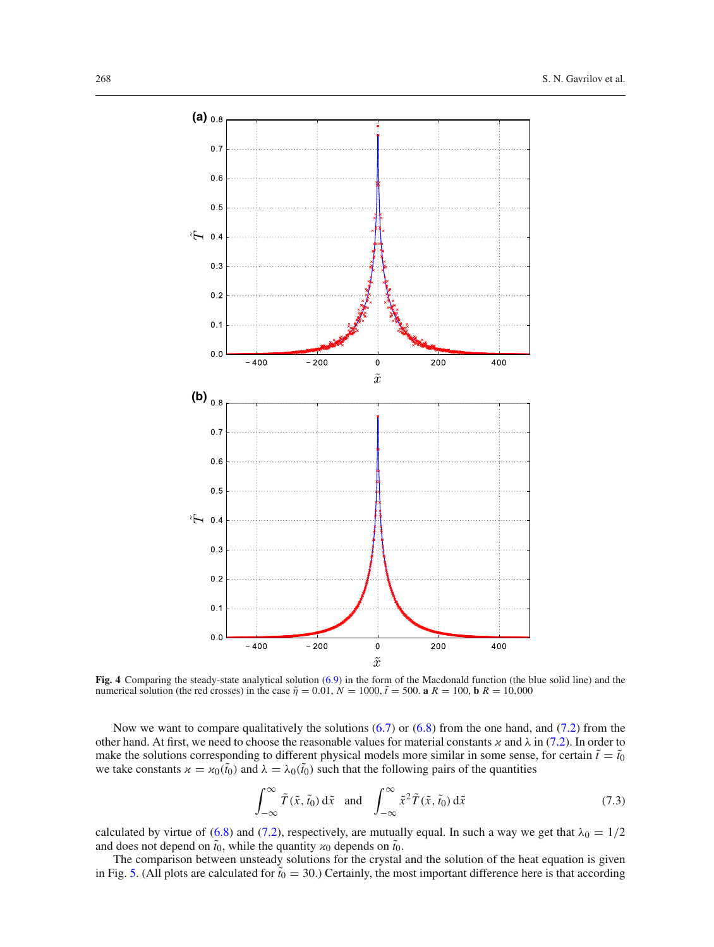

<span id="page-13-0"></span>**Fig. 4** Comparing the steady-state analytical solution [\(6.9\)](#page-10-2) in the form of the Macdonald function (the blue solid line) and the numerical solution (the red crosses) in the case  $\tilde{\eta} = 0.01$ ,  $N = 1000$ ,  $\tilde{t} = 500$ . **a**  $R = 100$ , **b**  $R = 10,000$ 

Now we want to compare qualitatively the solutions [\(6.7\)](#page-10-2) or [\(6.8\)](#page-10-2) from the one hand, and [\(7.2\)](#page-12-1) from the other hand. At first, we need to choose the reasonable values for material constants  $\alpha$  and  $\lambda$  in [\(7.2\)](#page-12-1). In order to make the solutions corresponding to different physical models more similar in some sense, for certain  $\tilde{t} = \tilde{t}_0$ we take constants  $x = x_0(\tilde{t}_0)$  and  $\lambda = \lambda_0(\tilde{t}_0)$  such that the following pairs of the quantities

$$
\int_{-\infty}^{\infty} \tilde{T}(\tilde{x}, \tilde{t}_0) d\tilde{x} \text{ and } \int_{-\infty}^{\infty} \tilde{x}^2 \tilde{T}(\tilde{x}, \tilde{t}_0) d\tilde{x} \tag{7.3}
$$

calculated by virtue of [\(6.8\)](#page-10-2) and [\(7.2\)](#page-12-1), respectively, are mutually equal. In such a way we get that  $\lambda_0 = 1/2$ and does not depend on  $\tilde{t}_0$ , while the quantity  $x_0$  depends on  $\tilde{t}_0$ .

The comparison between unsteady solutions for the crystal and the solution of the heat equation is given in Fig. [5.](#page-14-1) (All plots are calculated for  $\tilde{t}_0 = 30$ .) Certainly, the most important difference here is that according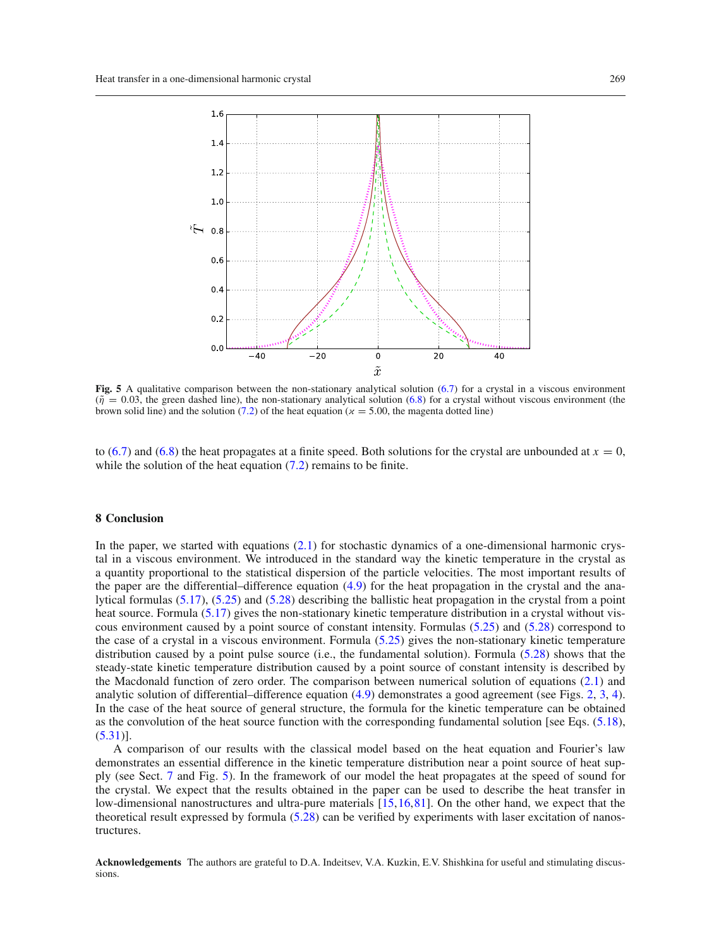

<span id="page-14-1"></span>**Fig. 5** A qualitative comparison between the non-stationary analytical solution [\(6.7\)](#page-10-2) for a crystal in a viscous environment  $(\tilde{\eta} = 0.03$ , the green dashed line), the non-stationary analytical solution [\(6.8\)](#page-10-2) for a crystal without viscous environment (the brown solid line) and the solution [\(7.2\)](#page-12-1) of the heat equation ( $x = 5.00$ , the magenta dotted line)

to [\(6.7\)](#page-10-2) and [\(6.8\)](#page-10-2) the heat propagates at a finite speed. Both solutions for the crystal are unbounded at  $x = 0$ , while the solution of the heat equation  $(7.2)$  remains to be finite.

### <span id="page-14-0"></span>**8 Conclusion**

In the paper, we started with equations  $(2.1)$  for stochastic dynamics of a one-dimensional harmonic crystal in a viscous environment. We introduced in the standard way the kinetic temperature in the crystal as a quantity proportional to the statistical dispersion of the particle velocities. The most important results of the paper are the differential–difference equation [\(4.9\)](#page-6-4) for the heat propagation in the crystal and the analytical formulas [\(5.17\)](#page-7-3), [\(5.25\)](#page-8-6) and [\(5.28\)](#page-9-1) describing the ballistic heat propagation in the crystal from a point heat source. Formula [\(5.17\)](#page-7-3) gives the non-stationary kinetic temperature distribution in a crystal without viscous environment caused by a point source of constant intensity. Formulas [\(5.25\)](#page-8-6) and [\(5.28\)](#page-9-1) correspond to the case of a crystal in a viscous environment. Formula [\(5.25\)](#page-8-6) gives the non-stationary kinetic temperature distribution caused by a point pulse source (i.e., the fundamental solution). Formula [\(5.28\)](#page-9-1) shows that the steady-state kinetic temperature distribution caused by a point source of constant intensity is described by the Macdonald function of zero order. The comparison between numerical solution of equations [\(2.1\)](#page-2-3) and analytic solution of differential–difference equation [\(4.9\)](#page-6-4) demonstrates a good agreement (see Figs. [2,](#page-11-0) [3,](#page-12-0) [4\)](#page-13-0). In the case of the heat source of general structure, the formula for the kinetic temperature can be obtained as the convolution of the heat source function with the corresponding fundamental solution [see Eqs. [\(5.18\)](#page-8-1),  $(5.31)$ ].

A comparison of our results with the classical model based on the heat equation and Fourier's law demonstrates an essential difference in the kinetic temperature distribution near a point source of heat supply (see Sect. [7](#page-10-0) and Fig. [5\)](#page-14-1). In the framework of our model the heat propagates at the speed of sound for the crystal. We expect that the results obtained in the paper can be used to describe the heat transfer in low-dimensional nanostructures and ultra-pure materials [\[15](#page-16-9)[,16](#page-16-22),[81\]](#page-17-32). On the other hand, we expect that the theoretical result expressed by formula [\(5.28\)](#page-9-1) can be verified by experiments with laser excitation of nanostructures.

**Acknowledgements** The authors are grateful to D.A. Indeitsev, V.A. Kuzkin, E.V. Shishkina for useful and stimulating discussions.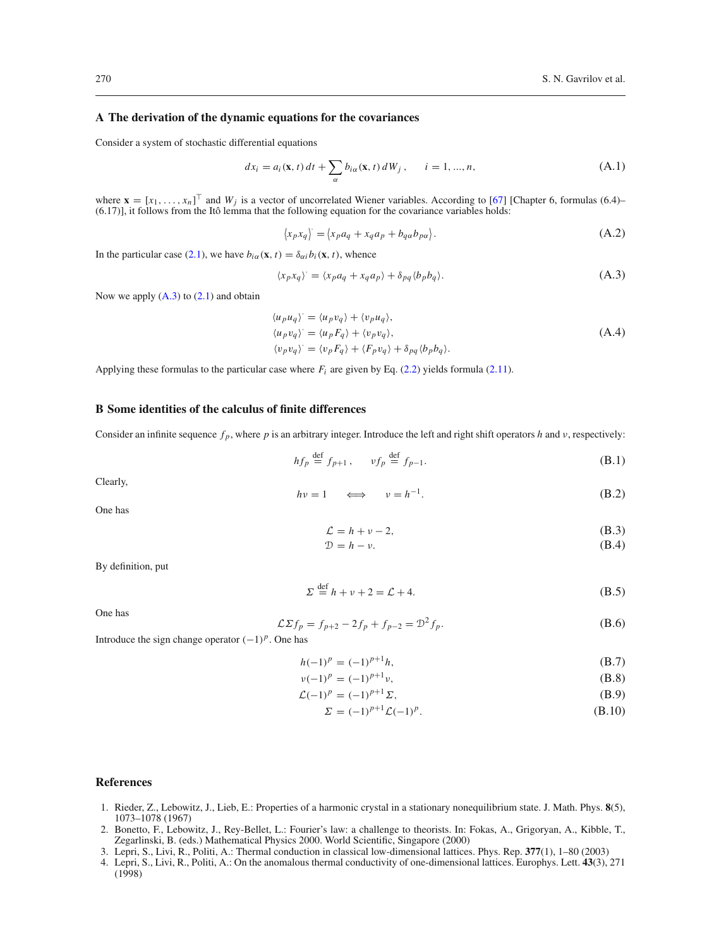# <span id="page-15-1"></span>**A The derivation of the dynamic equations for the covariances**

Consider a system of stochastic differential equations

$$
dx_i = a_i(\mathbf{x}, t) dt + \sum_{\alpha} b_{i\alpha}(\mathbf{x}, t) dW_j, \qquad i = 1, ..., n,
$$
 (A.1)

where  $\mathbf{x} = [x_1, \dots, x_n]^\top$  and  $W_j$  is a vector of uncorrelated Wiener variables. According to [\[67\]](#page-17-18) [Chapter 6, formulas (6.4)– (6.17)], it follows from the Itô lemma that the following equation for the covariance variables holds:

<span id="page-15-5"></span>
$$
\langle x_p x_q \rangle = \langle x_p a_q + x_q a_p + b_{q\alpha} b_{p\alpha} \rangle. \tag{A.2}
$$

In the particular case [\(2.1\)](#page-2-3), we have  $b_{i\alpha}(\mathbf{x}, t) = \delta_{\alpha i} b_i(\mathbf{x}, t)$ , whence

$$
\langle x_p x_q \rangle = \langle x_p a_q + x_q a_p \rangle + \delta_{pq} \langle b_p b_q \rangle. \tag{A.3}
$$

Now we apply  $(A.3)$  to  $(2.1)$  and obtain

$$
\langle u_p u_q \rangle = \langle u_p v_q \rangle + \langle v_p u_q \rangle,
$$
  
\n
$$
\langle u_p v_q \rangle = \langle u_p F_q \rangle + \langle v_p v_q \rangle,
$$
  
\n
$$
\langle v_p v_q \rangle = \langle v_p F_q \rangle + \langle F_p v_q \rangle + \delta_{pq} \langle b_p b_q \rangle.
$$
\n(A.4)

Applying these formulas to the particular case where  $F_i$  are given by Eq. [\(2.2\)](#page-2-5) yields formula [\(2.11\)](#page-3-2).

#### <span id="page-15-2"></span>**B Some identities of the calculus of finite differences**

Consider an infinite sequence  $f_p$ , where  $p$  is an arbitrary integer. Introduce the left and right shift operators  $h$  and  $v$ , respectively:

$$
hf_p \stackrel{\text{def}}{=} f_{p+1}, \qquad vf_p \stackrel{\text{def}}{=} f_{p-1}.
$$
 (B.1)

Clearly,

$$
hv = 1 \qquad \Longleftrightarrow \qquad v = h^{-1}.
$$
\n(B.2)

One has

$$
\mathcal{L} = h + v - 2,\tag{B.3}
$$

$$
\mathcal{D} = h - \nu. \tag{B.4}
$$

By definition, put

$$
\Sigma \stackrel{\text{def}}{=} h + v + 2 = \mathcal{L} + 4. \tag{B.5}
$$

<span id="page-15-3"></span>One has

$$
\mathcal{L}\Sigma f_p = f_{p+2} - 2f_p + f_{p-2} = \mathcal{D}^2 f_p.
$$
 (B.6)

Introduce the sign change operator (−1)*p*. One has

<span id="page-15-4"></span>
$$
h(-1)^p = (-1)^{p+1}h,\tag{B.7}
$$

$$
\nu(-1)^p = (-1)^{p+1}\nu,\tag{B.8}
$$

$$
\mathcal{L}(-1)^p = (-1)^{p+1} \Sigma,
$$
\n(B.9)

$$
\Sigma = (-1)^{p+1} \mathcal{L}(-1)^p.
$$
\n(B.10)

# **References**

- <span id="page-15-0"></span>1. Rieder, Z., Lebowitz, J., Lieb, E.: Properties of a harmonic crystal in a stationary nonequilibrium state. J. Math. Phys. **8**(5), 1073–1078 (1967)
- 2. Bonetto, F., Lebowitz, J., Rey-Bellet, L.: Fourier's law: a challenge to theorists. In: Fokas, A., Grigoryan, A., Kibble, T., Zegarlinski, B. (eds.) Mathematical Physics 2000. World Scientific, Singapore (2000)
- 3. Lepri, S., Livi, R., Politi, A.: Thermal conduction in classical low-dimensional lattices. Phys. Rep. **377**(1), 1–80 (2003)
- 4. Lepri, S., Livi, R., Politi, A.: On the anomalous thermal conductivity of one-dimensional lattices. Europhys. Lett. **43**(3), 271 (1998)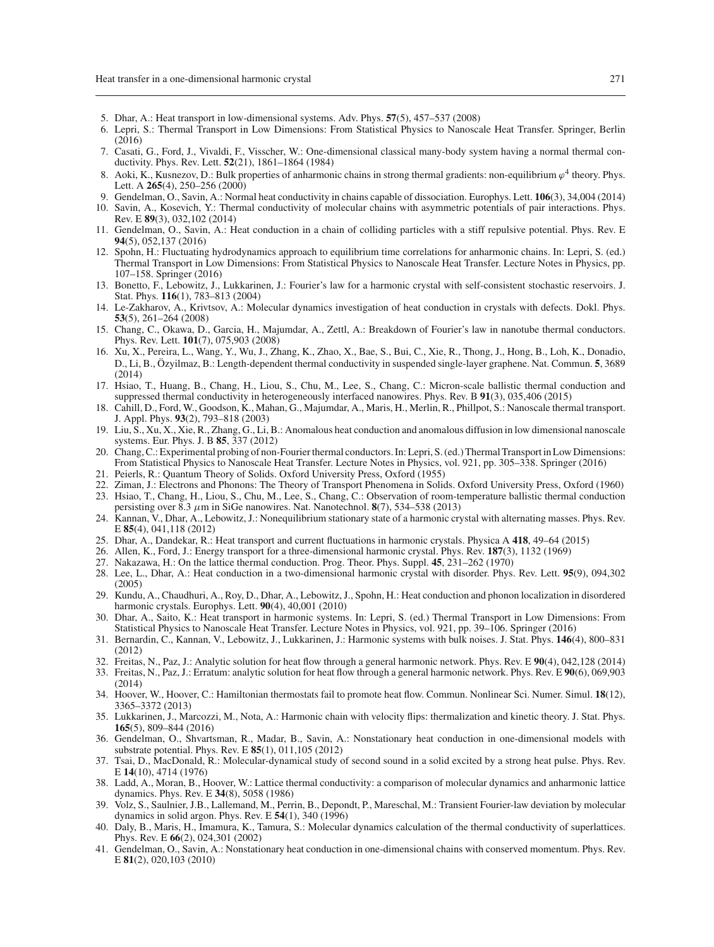- <span id="page-16-0"></span>5. Dhar, A.: Heat transport in low-dimensional systems. Adv. Phys. **57**(5), 457–537 (2008)
- <span id="page-16-1"></span>6. Lepri, S.: Thermal Transport in Low Dimensions: From Statistical Physics to Nanoscale Heat Transfer. Springer, Berlin (2016)
- <span id="page-16-2"></span>7. Casati, G., Ford, J., Vivaldi, F., Visscher, W.: One-dimensional classical many-body system having a normal thermal conductivity. Phys. Rev. Lett. **52**(21), 1861–1864 (1984)
- <span id="page-16-4"></span>8. Aoki, K., Kusnezov, D.: Bulk properties of anharmonic chains in strong thermal gradients: non-equilibrium  $\varphi^4$  theory. Phys. Lett. A **265**(4), 250–256 (2000)
- <span id="page-16-5"></span>9. Gendelman, O., Savin, A.: Normal heat conductivity in chains capable of dissociation. Europhys. Lett. **106**(3), 34,004 (2014)
- 10. Savin, A., Kosevich, Y.: Thermal conductivity of molecular chains with asymmetric potentials of pair interactions. Phys. Rev. E **89**(3), 032,102 (2014)
- <span id="page-16-3"></span>11. Gendelman, O., Savin, A.: Heat conduction in a chain of colliding particles with a stiff repulsive potential. Phys. Rev. E **94**(5), 052,137 (2016)
- <span id="page-16-6"></span>12. Spohn, H.: Fluctuating hydrodynamics approach to equilibrium time correlations for anharmonic chains. In: Lepri, S. (ed.) Thermal Transport in Low Dimensions: From Statistical Physics to Nanoscale Heat Transfer. Lecture Notes in Physics, pp. 107–158. Springer (2016)
- <span id="page-16-7"></span>13. Bonetto, F., Lebowitz, J., Lukkarinen, J.: Fourier's law for a harmonic crystal with self-consistent stochastic reservoirs. J. Stat. Phys. **116**(1), 783–813 (2004)
- <span id="page-16-8"></span>14. Le-Zakharov, A., Krivtsov, A.: Molecular dynamics investigation of heat conduction in crystals with defects. Dokl. Phys. **53**(5), 261–264 (2008)
- <span id="page-16-9"></span>15. Chang, C., Okawa, D., Garcia, H., Majumdar, A., Zettl, A.: Breakdown of Fourier's law in nanotube thermal conductors. Phys. Rev. Lett. **101**(7), 075,903 (2008)
- <span id="page-16-22"></span>16. Xu, X., Pereira, L., Wang, Y., Wu, J., Zhang, K., Zhao, X., Bae, S., Bui, C., Xie, R., Thong, J., Hong, B., Loh, K., Donadio, D., Li, B., Özyilmaz, B.: Length-dependent thermal conductivity in suspended single-layer graphene. Nat. Commun. **5**, 3689 (2014)
- 17. Hsiao, T., Huang, B., Chang, H., Liou, S., Chu, M., Lee, S., Chang, C.: Micron-scale ballistic thermal conduction and suppressed thermal conductivity in heterogeneously interfaced nanowires. Phys. Rev. B **91**(3), 035,406 (2015)
- <span id="page-16-21"></span>18. Cahill, D., Ford, W., Goodson, K., Mahan, G., Majumdar, A., Maris, H., Merlin, R., Phillpot, S.: Nanoscale thermal transport. J. Appl. Phys. **93**(2), 793–818 (2003)
- 19. Liu, S., Xu, X., Xie, R., Zhang, G., Li, B.: Anomalous heat conduction and anomalous diffusion in low dimensional nanoscale systems. Eur. Phys. J. B **85**, 337 (2012)
- <span id="page-16-10"></span>20. Chang, C.: Experimental probing of non-Fourier thermal conductors. In: Lepri, S. (ed.) Thermal Transport in Low Dimensions: From Statistical Physics to Nanoscale Heat Transfer. Lecture Notes in Physics, vol. 921, pp. 305–338. Springer (2016)
- <span id="page-16-11"></span>21. Peierls, R.: Quantum Theory of Solids. Oxford University Press, Oxford (1955)
- <span id="page-16-12"></span>22. Ziman, J.: Electrons and Phonons: The Theory of Transport Phenomena in Solids. Oxford University Press, Oxford (1960)
- <span id="page-16-13"></span>23. Hsiao, T., Chang, H., Liou, S., Chu, M., Lee, S., Chang, C.: Observation of room-temperature ballistic thermal conduction persisting over 8.3  $\mu$ m in SiGe nanowires. Nat. Nanotechnol. **8**(7), 534–538 (2013)
- <span id="page-16-14"></span>24. Kannan, V., Dhar, A., Lebowitz, J.: Nonequilibrium stationary state of a harmonic crystal with alternating masses. Phys. Rev. E **85**(4), 041,118 (2012)
- <span id="page-16-15"></span>25. Dhar, A., Dandekar, R.: Heat transport and current fluctuations in harmonic crystals. Physica A **418**, 49–64 (2015)
- <span id="page-16-16"></span>26. Allen, K., Ford, J.: Energy transport for a three-dimensional harmonic crystal. Phys. Rev. **187**(3), 1132 (1969)
- 27. Nakazawa, H.: On the lattice thermal conduction. Prog. Theor. Phys. Suppl. **45**, 231–262 (1970)
- 28. Lee, L., Dhar, A.: Heat conduction in a two-dimensional harmonic crystal with disorder. Phys. Rev. Lett. **95**(9), 094,302 (2005)
- 29. Kundu, A., Chaudhuri, A., Roy, D., Dhar, A., Lebowitz, J., Spohn, H.: Heat conduction and phonon localization in disordered harmonic crystals. Europhys. Lett. **90**(4), 40,001 (2010)
- 30. Dhar, A., Saito, K.: Heat transport in harmonic systems. In: Lepri, S. (ed.) Thermal Transport in Low Dimensions: From Statistical Physics to Nanoscale Heat Transfer. Lecture Notes in Physics, vol. 921, pp. 39–106. Springer (2016)
- 31. Bernardin, C., Kannan, V., Lebowitz, J., Lukkarinen, J.: Harmonic systems with bulk noises. J. Stat. Phys. **146**(4), 800–831 (2012)
- 32. Freitas, N., Paz, J.: Analytic solution for heat flow through a general harmonic network. Phys. Rev. E **90**(4), 042,128 (2014)
- 33. Freitas, N., Paz, J.: Erratum: analytic solution for heat flow through a general harmonic network. Phys. Rev. E **90**(6), 069,903 (2014)
- 34. Hoover, W., Hoover, C.: Hamiltonian thermostats fail to promote heat flow. Commun. Nonlinear Sci. Numer. Simul. **18**(12), 3365–3372 (2013)
- <span id="page-16-17"></span>35. Lukkarinen, J., Marcozzi, M., Nota, A.: Harmonic chain with velocity flips: thermalization and kinetic theory. J. Stat. Phys. **165**(5), 809–844 (2016)
- <span id="page-16-18"></span>36. Gendelman, O., Shvartsman, R., Madar, B., Savin, A.: Nonstationary heat conduction in one-dimensional models with substrate potential. Phys. Rev. E **85**(1), 011,105 (2012)
- 37. Tsai, D., MacDonald, R.: Molecular-dynamical study of second sound in a solid excited by a strong heat pulse. Phys. Rev. E **14**(10), 4714 (1976)
- 38. Ladd, A., Moran, B., Hoover, W.: Lattice thermal conductivity: a comparison of molecular dynamics and anharmonic lattice dynamics. Phys. Rev. E **34**(8), 5058 (1986)
- 39. Volz, S., Saulnier, J.B., Lallemand, M., Perrin, B., Depondt, P., Mareschal, M.: Transient Fourier-law deviation by molecular dynamics in solid argon. Phys. Rev. E **54**(1), 340 (1996)
- <span id="page-16-19"></span>40. Daly, B., Maris, H., Imamura, K., Tamura, S.: Molecular dynamics calculation of the thermal conductivity of superlattices. Phys. Rev. E **66**(2), 024,301 (2002)
- <span id="page-16-20"></span>41. Gendelman, O., Savin, A.: Nonstationary heat conduction in one-dimensional chains with conserved momentum. Phys. Rev. E **81**(2), 020,103 (2010)